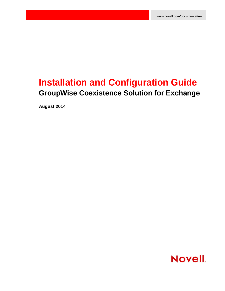# **Installation and Configuration Guide GroupWise Coexistence Solution for Exchange**

**August 2014**

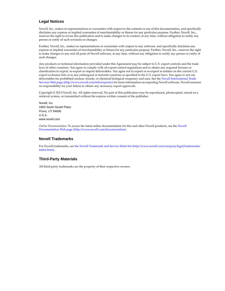#### **Legal Notices**

Novell, Inc., makes no representations or warranties with respect to the contents or use of this documentation, and specifically disclaims any express or implied warranties of merchantability or fitness for any particular purpose. Further, Novell, Inc., reserves the right to revise this publication and to make changes to its content, at any time, without obligation to notify any person or entity of such revisions or changes.

Further, Novell, Inc., makes no representations or warranties with respect to any software, and specifically disclaims any express or implied warranties of merchantability or fitness for any particular purpose. Further, Novell, Inc., reserves the right to make changes to any and all parts of Novell software, at any time, without any obligation to notify any person or entity of such changes.

Any products or technical information provided under this Agreement may be subject to U.S. export controls and the trade laws of other countries. You agree to comply with all export control regulations and to obtain any required licenses or classification to export, re-export or import deliverables. You agree not to export or re-export to entities on the current U.S. export exclusion lists or to any embargoed or terrorist countries as specified in the U.S. export laws. You agree to not use deliverables for prohibited nuclear, missile, or chemical biological weaponry end uses. See the [Novell International Trade](http://www.novell.com/info/exports/)  [Services Web page](http://www.novell.com/info/exports/) (http://www.novell.com/info/exports/) for more information on exporting Novell software. Novell assumes no responsibility for your failure to obtain any necessary export approvals.

Copyright © 2013 Novell, Inc. All rights reserved. No part of this publication may be reproduced, photocopied, stored on a retrieval system, or transmitted without the express written consent of the publisher.

Novell, Inc. 1800 South Novell Place Provo, UT 84606 U.S.A. www.novell.com

*Online Documentation:* To access the latest online documentation for this and other Novell products, see the [Novell](http://www.novell.com/documentation)  [Documentation Web page](http://www.novell.com/documentation) (http://www.novell.com/documentation).

#### **Novell Trademarks**

For Novell trademarks, see [the Novell Trademark and Service Mark list](http://www.novell.com/company/legal/trademarks/tmlist.html) (http://www.novell.com/company/legal/trademarks/ tmlist.html).

#### **Third-Party Materials**

All third-party trademarks are the property of their respective owners.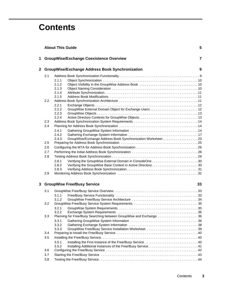# **Contents**

|   |     | <b>About This Guide</b>                                               | 5  |
|---|-----|-----------------------------------------------------------------------|----|
| 1 |     | <b>GroupWise/Exchange Coexistence Overview</b>                        | 7  |
| 2 |     | <b>GroupWise/Exchange Address Book Synchronization</b>                | 9  |
|   | 2.1 |                                                                       |    |
|   |     | 2.1.1                                                                 |    |
|   |     | 2.1.2                                                                 |    |
|   |     | 2.1.3<br>2.1.4                                                        |    |
|   |     | 2.1.5                                                                 |    |
|   | 2.2 |                                                                       |    |
|   |     | 2.2.1                                                                 |    |
|   |     | 2.2.2                                                                 |    |
|   |     | 2.2.3                                                                 |    |
|   |     | 2.2.4                                                                 |    |
|   | 2.3 |                                                                       |    |
|   | 2.4 |                                                                       |    |
|   |     | 2.4.1<br>2.4.2                                                        |    |
|   |     | GroupWise/Exchange Address Book Synchronization Worksheet 23<br>2.4.3 |    |
|   | 2.5 |                                                                       |    |
|   | 2.6 |                                                                       |    |
|   | 2.7 |                                                                       |    |
|   | 2.8 |                                                                       |    |
|   |     | 2.8.1                                                                 |    |
|   |     | 2.8.2                                                                 |    |
|   |     | 2.8.3                                                                 |    |
|   | 2.9 |                                                                       |    |
| 3 |     | <b>GroupWise Free/Busy Service</b>                                    | 33 |
|   | 3.1 |                                                                       |    |
|   |     | 3.1.1                                                                 |    |
|   |     | 3.1.2                                                                 |    |
|   | 3.2 |                                                                       |    |
|   |     | 3.2.1<br>3.2.2                                                        |    |
|   | 3.3 | Planning for Free/Busy Searching between GroupWise and Exchange 36    |    |
|   |     | 3.3.1                                                                 |    |
|   |     | 3.3.2                                                                 |    |
|   |     | 3.3.3                                                                 |    |
|   | 3.4 |                                                                       |    |
|   | 3.5 |                                                                       |    |
|   |     | 3.5.1                                                                 |    |
|   |     | 3.5.2                                                                 |    |
|   | 3.6 |                                                                       |    |
|   | 3.7 |                                                                       |    |
|   | 3.8 |                                                                       |    |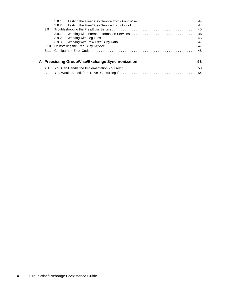|      | 3.8.1<br>3.8.2 |                                                  |    |
|------|----------------|--------------------------------------------------|----|
| 3.9  |                |                                                  |    |
|      | 3.9.1          |                                                  |    |
|      | 3.9.2          |                                                  |    |
|      | 3.9.3          |                                                  |    |
| 3.10 |                |                                                  |    |
| 3.11 |                |                                                  |    |
|      |                | A Preexisting GroupWise/Exchange Synchronization | 53 |
| A.1  |                |                                                  |    |

[A.2 You Would Benefit from Novell Consulting If... . . . . . . . . . . . . . . . . . . . . . . . . . . . . . . . . . . . . . . . . . 54](#page-53-0)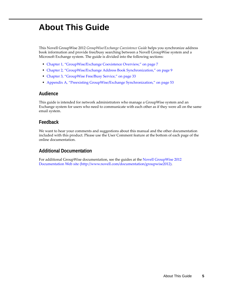# <span id="page-4-0"></span>**About This Guide**

This Novell GroupWise 2012 *GroupWise/Exchange Coexistence Guide* helps you synchronize address book information and provide free/busy searching between a Novell GroupWise system and a Microsoft Exchange system. The guide is divided into the following sections:

- [Chapter 1, "GroupWise/Exchange Coexistence Overview," on page 7](#page-6-1)
- [Chapter 2, "GroupWise/Exchange Address Book Synchronization," on page 9](#page-8-2)
- [Chapter 3, "GroupWise Free/Busy Service," on page 33](#page-32-3)
- [Appendix A, "Preexisting GroupWise/Exchange Synchronization," on page 53](#page-52-2)

### **Audience**

This guide is intended for network administrators who manage a GroupWise system and an Exchange system for users who need to communicate with each other as if they were all on the same email system.

#### **Feedback**

We want to hear your comments and suggestions about this manual and the other documentation included with this product. Please use the User Comment feature at the bottom of each page of the online documentation.

### **Additional Documentation**

For additional GroupWise documentation, see the guides at the [Novell GroupWise 2012](http://www.novell.com/documentation/groupwise2012)  [Documentation Web site](http://www.novell.com/documentation/groupwise2012) (http://www.novell.com/documentation/groupwise2012).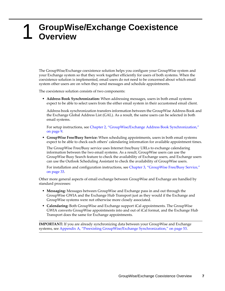## <span id="page-6-1"></span><span id="page-6-0"></span>1 <sup>1</sup>**GroupWise/Exchange Coexistence Overview**

The GroupWise/Exchange coexistence solution helps you configure your GroupWise system and your Exchange system so that they work together efficiently for users of both systems. When the coexistence solution is implemented, email users do not need to be concerned about which email system other users are on when they send messages and schedule appointments.

The coexistence solution consists of two components:

 **Address Book Synchronization:** When addressing messages, users in both email systems expect to be able to select users from the either email system in their accustomed email client.

Address book synchronization transfers information between the GroupWise Address Book and the Exchange Global Address List (GAL). As a result, the same users can be selected in both email systems.

For setup instructions, see [Chapter 2, "GroupWise/Exchange Address Book Synchronization,"](#page-8-2)  [on page 9.](#page-8-2)

 **GroupWise Free/Busy Service:** When scheduling appointments, users in both email systems expect to be able to check each others' calendaring information for available appointment times.

The GroupWise Free/Busy service uses Internet free/busy URLs to exchange calendaring information between the two email systems. As a result, GroupWise users can use the GroupWise Busy Search feature to check the availability of Exchange users, and Exchange users can use the Outlook Scheduling Assistant to check the availability of GroupWise users.

For installation and configuration instructions, see [Chapter 3, "GroupWise Free/Busy Service,"](#page-32-3)  [on page 33.](#page-32-3)

Other more general aspects of email exchange between GroupWise and Exchange are handled by standard processes:

- **Messaging:** Messages between GroupWise and Exchange pass in and out through the GroupWise GWIA and the Exchange Hub Transport just as they would if the Exchange and GroupWise systems were not otherwise more closely associated.
- **Calendaring:** Both GroupWise and Exchange support iCal appointments. The GroupWise GWIA converts GroupWise appointments into and out of iCal format, and the Exchange Hub Transport does the same for Exchange appointments.

**IMPORTANT:** If you are already synchronizing data between your GroupWise and Exchange systems, see [Appendix A, "Preexisting GroupWise/Exchange Synchronization," on page 53](#page-52-2).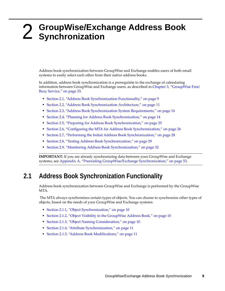# <span id="page-8-0"></span>2 <sup>2</sup>**GroupWise/Exchange Address Book Synchronization**

<span id="page-8-2"></span>Address book synchronization between GroupWise and Exchange enables users of both email systems to easily select each other from their native address books.

In addition, address book synchronization is a prerequisite to the exchange of calendaring information between GroupWise and Exchange users, as described in [Chapter 3, "GroupWise Free/](#page-32-3) [Busy Service," on page 33.](#page-32-3)

- [Section 2.1, "Address Book Synchronization Functionality," on page 9](#page-8-1)
- [Section 2.2, "Address Book Synchronization Architecture," on page 11](#page-10-2)
- [Section 2.3, "Address Book Synchronization System Requirements," on page 14](#page-13-0)
- [Section 2.4, "Planning for Address Book Synchronization," on page 14](#page-13-1)
- [Section 2.5, "Preparing for Address Book Synchronization," on page 25](#page-24-0)
- [Section 2.6, "Configuring the MTA for Address Book Synchronization," on page 26](#page-25-0)
- [Section 2.7, "Performing the Initial Address Book Synchronization," on page 28](#page-27-0)
- [Section 2.8, "Testing Address Book Synchronization," on page 29](#page-28-0)
- [Section 2.9, "Monitoring Address Book Synchronization," on page 32](#page-31-0)

**IMPORTANT:** If you are already synchronizing data between your GroupWise and Exchange systems, see [Appendix A, "Preexisting GroupWise/Exchange Synchronization," on page 53](#page-52-2).

# <span id="page-8-1"></span>**2.1 Address Book Synchronization Functionality**

Address book synchronization between GroupWise and Exchange is performed by the GroupWise MTA.

 The MTA always synchronizes certain types of objects. You can choose to synchronize other types of objects, based on the needs of your GroupWise and Exchange systems.

- [Section 2.1.1, "Object Synchronization," on page 10](#page-9-0)
- [Section 2.1.2, "Object Visibility in the GroupWise Address Book," on page 10](#page-9-1)
- [Section 2.1.3, "Object Naming Consideration," on page 10](#page-9-2)
- [Section 2.1.4, "Attribute Synchronization," on page 11](#page-10-0)
- [Section 2.1.5, "Address Book Modifications," on page 11](#page-10-1)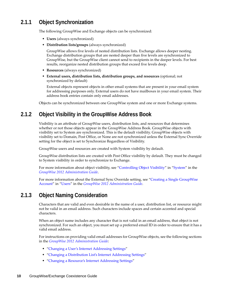# <span id="page-9-0"></span>**2.1.1 Object Synchronization**

The following GroupWise and Exchange objects can be synchronized:

- **Users** (always synchronized)
- **Distribution lists/groups** (always synchronized)

GroupWise allows five levels of nested distribution lists. Exchange allows deeper nesting. Exchange distribution groups that are nested deeper than five levels are synchronized to GroupWise, but the GroupWise client cannot send to recipients in the deeper levels. For best results, reorganize nested distribution groups that exceed five levels deep.

- **Resources** (always synchronized)
- **External users, distribution lists, distribution groups, and resources** (optional; not synchronized by default)

External objects represent objects in other email systems that are present in your email system for addressing purposes only. External users do not have mailboxes in your email system. Their address book entries contain only email addresses.

Objects can be synchronized between one GroupWise system and one or more Exchange systems.

### <span id="page-9-1"></span>**2.1.2 Object Visibility in the GroupWise Address Book**

Visibility is an attribute of GroupWise users, distribution lists, and resources that determines whether or not those objects appear in the GroupWise Address Book. GroupWise objects with visibility set to System are synchronized. This is the default visibility. GroupWise objects with visibility set to Domain, Post Office, or None are not synchronized unless the External Sync Override setting for the object is set to Synchronize Regardless of Visibility.

GroupWise users and resources are created with System visibility by default.

GroupWise distribution lists are created with Post Office visibility by default. They must be changed to System visibility in order to synchronize to Exchange.

For more information about object visibility, see ["Controlling Object Visibility"](http://www.novell.com/documentation/groupwise2012/pdfdoc/gw2012_guide_admin/gw2012_guide_admin.pdf#A3n3sbb) in ["System](http://www.novell.com/documentation/groupwise2012/pdfdoc/gw2012_guide_admin/gw2012_guide_admin.pdf#A7q4urx)" in the *[GroupWise 2012 Administration Guide](http://www.novell.com/documentation/groupwise2012/pdfdoc/gw2012_guide_admin/gw2012_guide_admin.pdf#A2zvyc4)*.

For more information about the External Sync Override setting, see "[Creating a Single GroupWise](http://www.novell.com/documentation/groupwise2012/pdfdoc/gw2012_guide_admin/gw2012_guide_admin.pdf#A3n34ni)  [Account](http://www.novell.com/documentation/groupwise2012/pdfdoc/gw2012_guide_admin/gw2012_guide_admin.pdf#A3n34ni)" in "[Users"](http://www.novell.com/documentation/groupwise2012/pdfdoc/gw2012_guide_admin/gw2012_guide_admin.pdf#A7q4x8x) in the *[GroupWise 2012 Administration Guide](http://www.novell.com/documentation/groupwise2012/pdfdoc/gw2012_guide_admin/gw2012_guide_admin.pdf#A2zvyc4)*.

# <span id="page-9-2"></span>**2.1.3 Object Naming Consideration**

Characters that are valid and even desirable in the name of a user, distribution list, or resource might not be valid in an email address. Such characters include spaces and certain accented and special characters.

When an object name includes any character that is not valid in an email address, that object is not synchronized. For such an object, you must set up a preferred email ID in order to ensure that it has a valid email address.

For instructions on providing valid email addresses for GroupWise objects, see the following sections in the *[GroupWise 2012 Administration Guide](http://www.novell.com/documentation/groupwise2012/pdfdoc/gw2012_guide_admin/gw2012_guide_admin.pdf#A2zvyc4)*:

- "[Changing a User's Internet Addressing Settings"](http://www.novell.com/documentation/groupwise2012/pdfdoc/gw2012_guide_admin/gw2012_guide_admin.pdf#Abq6ffb)
- "[Changing a Distribution List's Internet Addressing Settings"](http://www.novell.com/documentation/groupwise2012/pdfdoc/gw2012_guide_admin/gw2012_guide_admin.pdf#Akhpffo)
- "[Changing a Resource's Internet Addressing Settings"](http://www.novell.com/documentation/groupwise2012/pdfdoc/gw2012_guide_admin/gw2012_guide_admin.pdf#Akegak2)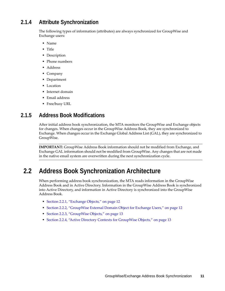## <span id="page-10-0"></span>**2.1.4 Attribute Synchronization**

The following types of information (attributes) are always synchronized for GroupWise and Exchange users:

- Name
- Title
- Description
- Phone numbers
- Address
- Company
- Department
- Location
- Internet domain
- Email address
- Free/busy URL

### <span id="page-10-1"></span>**2.1.5 Address Book Modifications**

After initial address book synchronization, the MTA monitors the GroupWise and Exchange objects for changes. When changes occur in the GroupWise Address Book, they are synchronized to Exchange. When changes occur in the Exchange Global Address List (GAL), they are synchronized to GroupWise.

**IMPORTANT:** GroupWise Address Book information should not be modified from Exchange, and Exchange GAL information should not be modified from GroupWise. Any changes that are not made in the native email system are overwritten during the next synchronization cycle.

# <span id="page-10-2"></span>**2.2 Address Book Synchronization Architecture**

When performing address book synchronization, the MTA reads information in the GroupWise Address Book and in Active Directory. Information in the GroupWise Address Book is synchronized into Active Directory, and information in Active Directory is synchronized into the GroupWise Address Book.

- [Section 2.2.1, "Exchange Objects," on page 12](#page-11-0)
- [Section 2.2.2, "GroupWise External Domain Object for Exchange Users," on page 12](#page-11-1)
- [Section 2.2.3, "GroupWise Objects," on page 13](#page-12-0)
- [Section 2.2.4, "Active Directory Contexts for GroupWise Objects," on page 13](#page-12-1)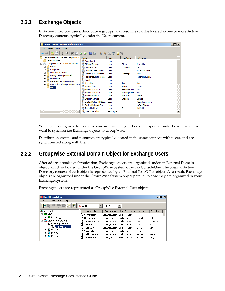# <span id="page-11-0"></span>**2.2.1 Exchange Objects**

In Active Directory, users, distribution groups, and resources can be located in one or more Active Directory contexts, typically under the Users context.

| $\Box$ D $\bm{\times}$<br><b>Active Directory Users and Computers</b> |                                      |                               |                   |                  |  |  |
|-----------------------------------------------------------------------|--------------------------------------|-------------------------------|-------------------|------------------|--|--|
| Action<br>Help<br>File<br>View                                        |                                      |                               |                   |                  |  |  |
| n<br>m                                                                | 罱<br>$\mathbf{R}$<br>a<br>l≡ò<br>Зĸ. | it v<br>$\circ$               | 32                |                  |  |  |
| Active Directory Users and Computers [E]                              | Name                                 | Type $\overline{\phantom{a}}$ | <b>First Name</b> | <b>Last Name</b> |  |  |
| <b>Saved Queries</b>                                                  | Administrator                        | User                          |                   |                  |  |  |
| prv-gwdoc-share.provo.novell.com                                      | Clifford Reynolds                    | User                          | Clifford          | Reynolds         |  |  |
| <b>Builtin</b>                                                        | Company Car                          | User                          | Company           | Car              |  |  |
| Computers<br>Domain Controllers                                       | DiscoverySearchMailb User            |                               |                   | MsExchDiscove    |  |  |
| $+$<br><b>ForeignSecurityPrincipals</b>                               | Exchange Coexistenc User             |                               | Exchange          | User             |  |  |
| GroupWise<br>$\overline{+}$                                           | FederatedEmail.4c1f                  | User                          |                   | FederatedFmail   |  |  |
| Managed Service Accounts<br>曱                                         | Guest                                | <b>Liser</b>                  |                   |                  |  |  |
| Microsoft Exchange Security Grou<br>$\overline{+}$                    | Jose Ator                            | <b>User</b>                   | Jose              | Ator             |  |  |
| <b>Users</b>                                                          | Krista Olsen                         | User                          | Krista            | Olsen            |  |  |
|                                                                       | Meeting Room 101                     | User                          | Meeting Room      | 101              |  |  |
|                                                                       | Meeting Room 201                     | User                          | Meeting Room      | 201              |  |  |
|                                                                       | Meredith Dozier                      | <b>Liser</b>                  | Meredith          | Dozier           |  |  |
|                                                                       | Sheldon Garnica                      | Liser                         | Sheldon           | Garnica          |  |  |
|                                                                       | SystemMailbox{1f05a                  | User                          |                   | MSExchApprov     |  |  |
|                                                                       | SystemMailbox{e0dc                   | User                          |                   | MsExchDiscove    |  |  |
|                                                                       | Terry Hadfield                       | <b>User</b>                   | Terry             | Hadfield         |  |  |
| $\blacktriangleright$                                                 | Enterprise Admins                    | Security G                    |                   |                  |  |  |
|                                                                       |                                      |                               |                   |                  |  |  |

When you configure address book synchronization, you choose the specific contexts from which you want to synchronize Exchange objects to GroupWise.

Distribution groups and resources are typically located in the same contexts with users, and are synchronized along with them.

### <span id="page-11-1"></span>**2.2.2 GroupWise External Domain Object for Exchange Users**

After address book synchronization, Exchange objects are organized under an External Domain object, which is located under the GroupWise System object in ConsoleOne. The original Active Directory context of each object is represented by an External Post Office object. As a result, Exchange objects are organized under the GroupWise System object parallel to how they are organized in your Exchange system.

| <b>C</b> Novell ConsoleOne                 |                                                 |                              |                  |           | $\Box$ $\Box$ $\times$ |
|--------------------------------------------|-------------------------------------------------|------------------------------|------------------|-----------|------------------------|
| Edit<br>Tools<br>Help<br>View<br>File      |                                                 |                              |                  |           |                        |
| $\mathbb{R}$<br>$\bullet$ Users<br>ID Sort |                                                 |                              |                  |           |                        |
| <b>My World</b>                            | Object ID                                       | Domain Name                  | Post Office Name | Last Name | Given Name             |
| <b>P</b> NDS<br>Ėŀ                         | А<br>Administrator                              | ExchangeSystem               | ExchangeUsers    |           |                        |
|                                            | <b>B</b> Clifford Reynolds                      | ExchangeSystem ExchangeUsers |                  | Reynolds  | Clifford               |
| <b>E-© GroupWise System</b>                | 2 Exchange Coexist ExchangeSystem ExchangeUsers |                              |                  | User      | Exchange C             |
| 白 (C) ExchangeSystem                       | <b>3</b> Jose Ator                              | ExchangeSystem ExchangeUsers |                  | Ator      | Jose                   |
| <b>La ExchangeUsers</b>                    | A Krista Olsen                                  | ExchangeSystem ExchangeUsers |                  | Olsen     | Krista                 |
| 由 (2 Provo1                                | в<br>Meredith Dozier                            | ExchangeSystem ExchangeUsers |                  | Dozier    | Meredith               |
| <b>B</b> Provo2<br>由<br>由 (2) Provo3       | в<br>Sheldon Garnica                            | ExchangeSystem ExchangeUsers |                  | Garnica   | Sheldon                |
|                                            | B Terry Hadfield                                | ExchangeSystem ExchangeUsers |                  | Hadfield  | Terry                  |

Exchange users are represented as GroupWise External User objects.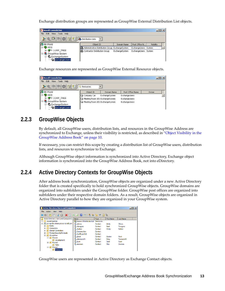Exchange distribution groups are represented as GroupWise External Distribution List objects.

| <b>K</b> Novell ConsoleOne                                           |                                                     |                |                      | $ I $ $ I $ |  |
|----------------------------------------------------------------------|-----------------------------------------------------|----------------|----------------------|-------------|--|
| Tools Help<br>Edit<br>View<br>File                                   |                                                     |                |                      |             |  |
| $^{\circ}$<br><b>It</b><br>$\leq \ \overline{\Box}\rangle\ $ in<br>劉 | <b>88</b> Distribution Lists                        |                |                      |             |  |
| My World<br>K.                                                       | Object ID                                           | Domain Name    | Post Office N        | Visibility  |  |
| <b>P</b> NDS                                                         | 83 Administrative Distribution Group ExchangeSystem |                | ExchangeUsers System |             |  |
| 由 <b>◆</b> CORP_TREE                                                 | <b>RS</b> Contractor Distribution Group             | ExchangeSystem | ExchangeUsers System |             |  |
| □ CoroupWise System                                                  |                                                     |                |                      |             |  |
| 白 (C) ExchangeSystem                                                 |                                                     |                |                      |             |  |
| <b>Exchange Users</b>                                                |                                                     |                |                      |             |  |

Exchange resources are represented as GroupWise External Resource objects.

| <b>C</b> Novell ConsoleOne            |                                    |                |                      | $\Box$ o $\Box$ |
|---------------------------------------|------------------------------------|----------------|----------------------|-----------------|
| Tools<br>Edit<br>Help<br>View<br>File |                                    |                |                      |                 |
| 阽<br>緭                                | <b>Resources</b>                   |                |                      |                 |
| My World<br>la.                       | Object ID                          | Domain Name    | Post Office Name     | Owner           |
| <b>P</b> NDS                          | <b>Q</b> Company Car               | ExchangeSystem | <b>ExchangeUsers</b> |                 |
| 由 <b>◆</b> CORP_TREE                  | a Meeting Room 101 ExchangeSystem  |                | <b>ExchangeUsers</b> |                 |
| <b>E-®</b> GroupWise System           | G3 Meeting Room 201 ExchangeSystem |                | <b>ExchangeUsers</b> |                 |
| 白 (2) ExchangeSystem                  |                                    |                |                      |                 |
| <b>Lis</b> ExchangeUsers              |                                    |                |                      |                 |

# <span id="page-12-0"></span>**2.2.3 GroupWise Objects**

By default, all GroupWise users, distribution lists, and resources in the GroupWise Address are synchronized to Exchange, unless their visibility is restricted, as described in ["Object Visibility in the](#page-9-1)  [GroupWise Address Book" on page 10.](#page-9-1)

If necessary, you can restrict this scope by creating a distribution list of GroupWise users, distribution lists, and resources to synchronize to Exchange.

Although GroupWise object information is synchronized into Active Directory, Exchange object information is synchronized into the GroupWise Address Book, not into eDirectory.

### <span id="page-12-1"></span>**2.2.4 Active Directory Contexts for GroupWise Objects**

After address book synchronization, GroupWise objects are organized under a new Active Directory folder that is created specifically to hold synchronized GroupWise objects. GroupWise domains are organized into subfolders under the GroupWise folder. GroupWise post offices are organized into subfolders under their respective domain folders. As a result, GroupWise objects are organized in Active Directory parallel to how they are organized in your GroupWise system.

| <b>Active Directory Users and Computers</b>              |                          |             |                   |                  | $ \Box$ $\times$ |
|----------------------------------------------------------|--------------------------|-------------|-------------------|------------------|------------------|
| File<br>Help<br>Action<br><b>View</b>                    |                          |             |                   |                  |                  |
| 自<br><b>In</b><br>層<br>e                                 | 13<br>扇<br>腺<br>a        |             | 92                |                  |                  |
| Active Directory Users and Computers [                   | Name                     | Type        | <b>First Name</b> | <b>Last Name</b> |                  |
| <b>Saved Oueries</b><br>国                                | ResearchDistributionList | Distributio |                   |                  |                  |
| prv-gwdoc-share.provo.novell.com<br>$\Box$               | y.<br>aolivos            | Contact     | Anita             | Olivos           |                  |
| Builtin<br>$\overline{+}$                                | bforsgren                | Contact     | Basil             | Forsgren         |                  |
| $\overline{+}$<br>Computers                              | cholton<br>۴             | Contact     | Cindy             | <b>Bolton</b>    |                  |
| <b>Domain Controllers</b><br>圧<br>H                      | CompanyVan               | Contact     |                   |                  |                  |
| <b>ForeignSecurityPrincipals</b><br>$\overline{+}$       | ConfRoom518              | Contact     |                   |                  |                  |
| GroupWise<br>E<br>IаП<br>$\Box$ $\Box$ Provo1            | gbock<br>۴               | Contact     | Gustav            | <b>Bock</b>      |                  |
|                                                          | afarnsworth              | Contact     | Grea              | Farnsworth       |                  |
| <b>Development</b><br>٦î<br>Provo <sub>2</sub><br>$\Box$ | jsumi<br>۴               | Contact     | Jade              | Sumi             |                  |
| <b>Dill</b> Sales                                        | ۴<br>szeeman             | Contact     | Skip              | Zeeman           |                  |
| e ci<br>Provo3                                           |                          |             |                   |                  |                  |
| Research                                                 |                          |             |                   |                  |                  |

GroupWise users are represented in Active Directory as Exchange Contact objects.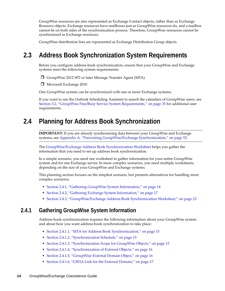GroupWise resources are also represented as Exchange Contact objects, rather than as Exchange Resource objects. Exchange resources have mailboxes just as GroupWise resources do, and a mailbox cannot be on both sides of the synchronization process. Therefore, GroupWise resources cannot be synchronized as Exchange resources.

GroupWise distribution lists are represented as Exchange Distribution Group objects.

# <span id="page-13-0"></span>**2.3 Address Book Synchronization System Requirements**

Before you configure address book synchronization, ensure that your GroupWise and Exchange systems meet the following system requirements:

□ GroupWise 2012 SP2 or later Message Transfer Agent (MTA)

Microsoft Exchange 2010

One GroupWise system can be synchronized with one or more Exchange systems.

If you want to use the Outlook Scheduling Assistant to search the calendars of GroupWise users, see [Section 3.2, "GroupWise Free/Busy Service System Requirements," on page 35](#page-34-2) for additional user requirements.

# <span id="page-13-1"></span>**2.4 Planning for Address Book Synchronization**

**IMPORTANT:** If you are already synchronizing data between your GroupWise and Exchange systems, see [Appendix A, "Preexisting GroupWise/Exchange Synchronization," on page 53](#page-52-2).

The [GroupWise/Exchange Address Book Synchronization Worksheet](#page-22-0) helps you gather the information that you need to set up address book synchronization.

In a simple scenario, you need one worksheet to gather information for your entire GroupWise system and for one Exchange server. In more complex scenarios, you need multiple worksheets, depending on the size of your GroupWise and Exchange systems.

This planning section focuses on the simplest scenario, but presents alternatives for handling more complex scenarios.

- [Section 2.4.1, "Gathering GroupWise System Information," on page 14](#page-13-2)
- [Section 2.4.2, "Gathering Exchange System Information," on page 17](#page-16-0)
- [Section 2.4.3, "GroupWise/Exchange Address Book Synchronization Worksheet," on page 23](#page-22-0)

### <span id="page-13-2"></span>**2.4.1 Gathering GroupWise System Information**

Address book synchronization requires the following information about your GroupWise system and about how you want address book synchronization to take place:

- [Section 2.4.1.1, "MTA for Address Book Synchronization," on page 15](#page-14-0)
- [Section 2.4.1.2, "Synchronization Schedule," on page 15](#page-14-1)
- [Section 2.4.1.3, "Synchronization Scope for GroupWise Objects," on page 15](#page-14-2)
- [Section 2.4.1.4, "Synchronization of External Objects," on page 16](#page-15-1)
- [Section 2.4.1.5, "GroupWise External Domain Object," on page 16](#page-15-0)
- [Section 2.4.1.6, "GWIA Link for the External Domain," on page 17](#page-16-1)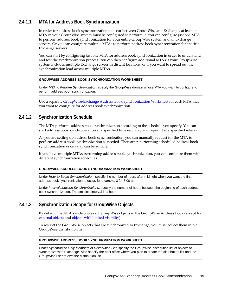### <span id="page-14-0"></span>**2.4.1.1 MTA for Address Book Synchronization**

In order for address book synchronization to occur between GroupWise and Exchange, at least one MTA in your GroupWise system must be configured to perform it. You can configure just one MTA to perform address book synchronization for your entire GroupWise system and all Exchange servers. Or you can configure multiple MTAs to perform address book synchronization for specific Exchange servers.

You can start by configuring just one MTA for address book synchronization in order to understand and test the synchronization process. You can then configure additional MTAs if your GroupWise system includes multiple Exchange servers in distant locations, or if you want to spread out the synchronization load across multiple MTAs.

#### **GROUPWISE ADDRESS BOOK SYNCHRONIZATION WORKSHEET**

Under *MTA to Perform Synchronization*, specify the GroupWise domain whose MTA you want to configure to perform address book synchronization.

Use a separate [GroupWise/Exchange Address Book Synchronization Worksheet](#page-22-0) for each MTA that you want to configure for address book synchronization.

### <span id="page-14-1"></span>**2.4.1.2 Synchronization Schedule**

The MTA performs address book synchronization according to the schedule you specify. You can start address book synchronization at a specified time each day and repeat it at a specified interval.

As you are setting up address book synchronization, you can manually request for the MTA to perform address book synchronization as needed. Thereafter, performing scheduled address book synchronization once a day can be sufficient.

If you have multiple MTAs performing address book synchronization, you can configure them with different synchronization schedules.

#### **GROUPWISE ADDRESS BOOK SYNCHRONIZATION WORKSHEET**

Under *Hour to Begin Synchronization*, specify the number of hours after midnight when you want the first address book synchronization to occur, for example, 3 for 3:00 a.m.

Under *Interval between Synchronizations*, specify the number of hours between the beginning of each address book synchronization. The smallest interval is 1 hour.

### <span id="page-14-2"></span>**2.4.1.3 Synchronization Scope for GroupWise Objects**

By default, the MTA synchronizes all GroupWise objects in the GroupWise Address Book (except for [external objects](#page-9-0) and [objects with limited visibility](#page-9-1)).

To restrict the GroupWise objects that are synchronized to Exchange, you must collect them into a GroupWise distribution list.

#### **GROUPWISE ADDRESS BOOK SYNCHRONIZATION WORKSHEET**

Under *Synchronize Only Members of Distribution List*, specify the GroupWise distribution list of objects to synchronize with Exchange. Also specify the post office where you plan to create the distribution list and the GroupWise user to own the distribution list.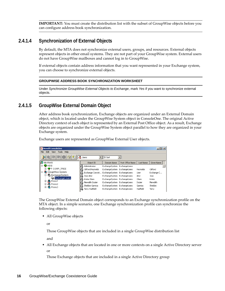**IMPORTANT:** You must create the distribution list with the subset of GroupWise objects before you can configure address book synchronization.

### <span id="page-15-1"></span>**2.4.1.4 Synchronization of External Objects**

By default, the MTA does not synchronize external users, groups, and resources. External objects represent objects in other email systems. They are not part of your GroupWise system. External users do not have GroupWise mailboxes and cannot log in to GroupWise.

If external objects contain address information that you want represented in your Exchange system, you can choose to synchronize external objects.

#### **GROUPWISE ADDRESS BOOK SYNCHRONIZATION WORKSHEET**

Under *Synchronize GroupWise External Objects to Exchange*, mark *Yes* if you want to synchronize external objects.

### <span id="page-15-0"></span>**2.4.1.5 GroupWise External Domain Object**

After address book synchronization, Exchange objects are organized under an External Domain object, which is located under the GroupWise System object in ConsoleOne. The original Active Directory context of each object is represented by an External Post Office object. As a result, Exchange objects are organized under the GroupWise System object parallel to how they are organized in your Exchange system.

Exchange users are represented as GroupWise External User objects.

| <b>C</b> Novell ConsoleOne                    |                                                      |                              |                  |           | $   \times$ $-$ |
|-----------------------------------------------|------------------------------------------------------|------------------------------|------------------|-----------|-----------------|
| Edit<br>File<br>Tools<br>Help<br>View         |                                                      |                              |                  |           |                 |
| $\mathbf{F}$<br><b>A</b> Users<br>D Sort<br>偷 |                                                      |                              |                  |           |                 |
| My World<br>K.                                | Object ID                                            | Domain Name                  | Post Office Name | Last Name | Given Name      |
| <b>P</b> NDS<br>Fŀ                            | IA.<br>Administrator                                 | ExchangeSystem               | ExchangeUsers    |           |                 |
| 由一个 CORP_TREE                                 | IA.<br>Clifford Reynolds                             | ExchangeSystem               | ExchangeUsers    | Reynolds  | Clifford        |
| □ CoroupWise System                           | 43.<br>Exchange Coexist ExchangeSystem ExchangeUsers |                              |                  | User      | Exchange C      |
| 白 (C) ExchangeSystem                          | IA.<br>Jose Ator                                     | ExchangeSystem ExchangeUsers |                  | Ator      | <b>Jose</b>     |
| <b>ExchangeUsers</b><br>由 (2 Provo1           | $\mathbb B$ Krista Olsen                             | ExchangeSystem               | ExchangeUsers    | Olsen     | Krista          |
| <b>B</b> Provo2<br>审                          | ĿЗ<br>Meredith Dozier                                | ExchangeSystem               | ExchangeUsers    | Dozier    | Meredith        |
| 由 © Provo3                                    | IВ<br>Sheldon Garnica                                | ExchangeSystem               | ExchangeUsers    | Garnica   | Sheldon         |
|                                               | IA.<br>Terry Hadfield                                | ExchangeSystem ExchangeUsers |                  | Hadfield  | Terry           |

The GroupWise External Domain object corresponds to an Exchange synchronization profile on the MTA object. In a simple scenario, one Exchange synchronization profile can synchronize the following objects:

All GroupWise objects

or

Those GroupWise objects that are included in a single GroupWise distribution list

and

 All Exchange objects that are located in one or more contexts on a single Active Directory server or

Those Exchange objects that are included in a single Active Directory group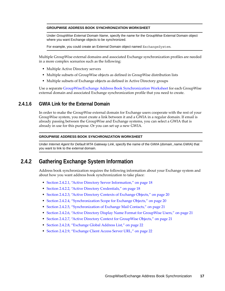#### **GROUPWISE ADDRESS BOOK SYNCHRONIZATION WORKSHEET**

Under *GroupWise External Domain Name*, specify the name for the GroupWise External Domain object where you want Exchange objects to be synchronized.

For example, you could create an External Domain object named ExchangeSystem.

Multiple GroupWise external domains and associated Exchange synchronization profiles are needed in a more complex scenarios such as the following:

- Multiple Active Directory servers
- Multiple subsets of GroupWise objects as defined in GroupWise distribution lists
- Multiple subsets of Exchange objects as defined in Active Directory groups

Use a separate [GroupWise/Exchange Address Book Synchronization Worksheet](#page-22-0) for each GroupWise external domain and associated Exchange synchronization profile that you need to create.

### <span id="page-16-1"></span>**2.4.1.6 GWIA Link for the External Domain**

In order to make the GroupWise external domain for Exchange users cooperate with the rest of your GroupWise system, you must create a link between it and a GWIA in a regular domain. If email is already passing between the GroupWise and Exchange systems, you can select a GWIA that is already in use for this purpose. Or you can set up a new GWIA.

#### **GROUPWISE ADDRESS BOOK SYNCHRONIZATION WORKSHEET**

Under *Internet Agent for Default MTA Gateway Link*, specify the name of the GWIA (*domain\_name*.GWIA) that you want to link to the external domain.

### <span id="page-16-0"></span>**2.4.2 Gathering Exchange System Information**

Address book synchronization requires the following information about your Exchange system and about how you want address book synchronization to take place:

- [Section 2.4.2.1, "Active Directory Server Information," on page 18](#page-17-0)
- [Section 2.4.2.2, "Active Directory Credentials," on page 18](#page-17-1)
- [Section 2.4.2.3, "Active Directory Contexts of Exchange Objects," on page 20](#page-19-0)
- [Section 2.4.2.4, "Synchronization Scope for Exchange Objects," on page 20](#page-19-1)
- [Section 2.4.2.5, "Synchronization of Exchange Mail Contacts," on page 21](#page-20-0)
- [Section 2.4.2.6, "Active Directory Display Name Format for GroupWise Users," on page 21](#page-20-1)
- [Section 2.4.2.7, "Active Directory Context for GroupWise Objects," on page 21](#page-20-2)
- [Section 2.4.2.8, "Exchange Global Address List," on page 22](#page-21-0)
- [Section 2.4.2.9, "Exchange Client Access Server URL," on page 22](#page-21-1)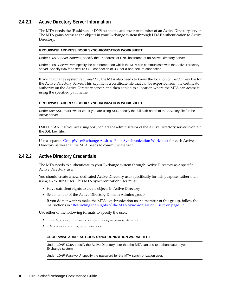### <span id="page-17-0"></span>**2.4.2.1 Active Directory Server Information**

The MTA needs the IP address or DNS hostname and the port number of an Active Directory server. The MTA gains access to the objects in your Exchange system through LDAP authentication to Active Directory.

#### **GROUPWISE ADDRESS BOOK SYNCHRONIZATION WORKSHEET**

Under *LDAP Server Address*, specify the IP address or DNS hostname of an Active Directory server.

Under *LDAP Server Port*, specify the port number on which the MTA can communicate with the Active Directory server. Specify 636 for a secure SSL connection or 389 for a non-secure connection.

If your Exchange system requires SSL, the MTA also needs to know the location of the SSL key file for the Active Directory Server. This key file is a certificate file that can be exported from the certificate authority on the Active Directory server, and then copied to a location where the MTA can access it using the specified path name.

#### **GROUPWISE ADDRESS BOOK SYNCHRONIZATION WORKSHEET**

Under *Use SSL*, mark *Yes* or *No*. If you are using SSL, specify the full path name of the SSL key file for the Active server.

**IMPORTANT:** If you are using SSL, contact the administrator of the Active Directory server to obtain the SSL key file.

Use a separate [GroupWise/Exchange Address Book Synchronization Worksheet](#page-22-0) for each Active Directory server that the MTA needs to communicate with.

#### <span id="page-17-1"></span>**2.4.2.2 Active Directory Credentials**

The MTA needs to authenticate to your Exchange system through Active Directory as a specific Active Directory user.

You should create a new, dedicated Active Directory user specifically for this purpose, rather than using an existing user. This MTA synchronization user must:

- Have sufficient rights to create objects in Active Directory
- Be a member of the Active Directory Domain Admins group

If you do not want to make the MTA synchronization user a member of this group, follow the instructions in ["Restricting the Rights of the MTA Synchronization User" on page 19.](#page-18-0)

Use either of the following formats to specify the user:

- cn=*ldapuser*,cn=users,dc=*yourcompanyname*,dc=com
- *ldapuser*@*yourcompanyname*.com

#### **GROUPWISE ADDRESS BOOK SYNCHRONIZATION WORKSHEET**

Under *LDAP User*, specify the Active Directory user that the MTA can use to authenticate to your Exchange system.

Under *LDAP Password*, specify the password for the MTA synchronization user.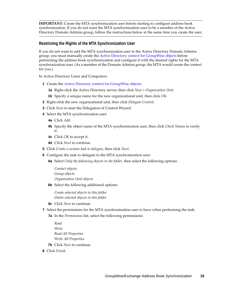**IMPORTANT:** Create the MTA synchronization user before starting to configure address book synchronization. If you do not want the MTA synchronization user to be a member of the Active Directory Domain Admins group, follow the instructions below at the same time you create the user.

#### <span id="page-18-0"></span>**Restricting the Rights of the MTA Synchronization User**

If you do not want to add the MTA synchronization user to the Active Directory Domain Admins group, you must manually create the [Active Directory context for GroupWise objects](#page-20-2) before performing the address book synchronization and configure it with the desired rights for the MTA synchronization user. (As a member of the Domain Admins group, the MTA would create the context for you.)

In Active Directory Users and Computers:

- **1** Create the Active Directory context for GroupWise objects:
	- **1a** Right-click the Active Directory server, then click *New > Organization Unit*.
	- **1b** Specify a unique name for the new organizational unit, then click *OK*.
- **2** Right-click the new organizational unit, then click *Delegate Control*.
- **3** Click *Next* to start the Delegation of Control Wizard.
- **4** Select the MTA synchronization user:
	- **4a** Click *Add*.
	- **4b** Specify the object name of the MTA synchronization user, then click *Check Names* to verify it.
	- **4c** Click *OK* to accept it.
	- **4d** Click *Next* to continue.
- **5** Click *Create a custom task to delegate*, then click *Next*.
- **6** Configure the task to delegate to the MTA synchronization user:
	- **6a** Select *Only the following objects in the folder*, then select the following options:

*Contact objects Group objects Organization Unit objects*

**6b** Select the following additional options:

*Create selected objects in this folder Delete selected objects in this folder*

- **6c** Click *Next* to continue.
- **7** Select the permissions for the MTA synchronization user to have when performing the task:
	- **7a** In the *Permissions* list, select the following permissions:
		- *Read Write Read All Properties Write All Properties*
	- **7b** Click *Next* to continue.
- **8** Click *Finish*.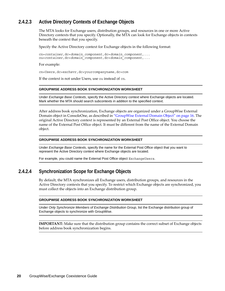### <span id="page-19-0"></span>**2.4.2.3 Active Directory Contexts of Exchange Objects**

The MTA looks for Exchange users, distribution groups, and resources in one or more Active Directory contexts that you specify. Optionally, the MTA can look for Exchange objects in contexts beneath the context that you specify.

Specify the Active Directory context for Exchange objects in the following format:

cn=*container*,dc=*domain\_component*,dc=*domain\_component*,... ou=*container*,dc=*domain\_component*,dc=*domain\_component*,...

For example:

cn=Users,dc=exchsvr,dc=yourcompanyname,dc=com

If the context is not under Users, use ou instead of cn.

#### **GROUPWISE ADDRESS BOOK SYNCHRONIZATION WORKSHEET**

Under *Exchange Base Contexts*, specify the Active Directory context where Exchange objects are located. Mark whether the MTA should search subcontexts in addition to the specified context.

After address book synchronization, Exchange objects are organized under a GroupWise External Domain object in ConsoleOne, as described in ["GroupWise External Domain Object" on page 16](#page-15-0). The original Active Directory context is represented by an External Post Office object. You choose the name of the External Post Office object. It must be different from the name of the External Domain object.

#### **GROUPWISE ADDRESS BOOK SYNCHRONIZATION WORKSHEET**

Under *Exchange Base Contexts*, specify the name for the External Post Office object that you want to represent the Active Directory context where Exchange objects are located.

For example, you could name the External Post Office object ExchangeUsers.

### <span id="page-19-1"></span>**2.4.2.4 Synchronization Scope for Exchange Objects**

By default, the MTA synchronizes all Exchange users, distribution groups, and resources in the Active Directory contexts that you specify. To restrict which Exchange objects are synchronized, you must collect the objects into an Exchange distribution group.

#### **GROUPWISE ADDRESS BOOK SYNCHRONIZATION WORKSHEET**

Under *Only Synchronize Members of Exchange Distribution Group*, list the Exchange distribution group of Exchange objects to synchronize with GroupWise.

**IMPORTANT:** Make sure that the distribution group contains the correct subset of Exchange objects before address book synchronization begins.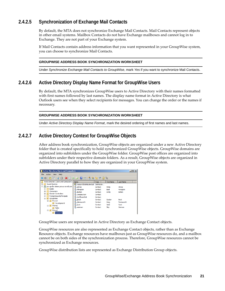### <span id="page-20-0"></span>**2.4.2.5 Synchronization of Exchange Mail Contacts**

By default, the MTA does not synchronize Exchange Mail Contacts. Mail Contacts represent objects in other email systems. Mailbox Contacts do not have Exchange mailboxes and cannot log in to Exchange. They are not part of your Exchange system.

If Mail Contacts contain address information that you want represented in your GroupWise system, you can choose to synchronize Mail Contacts.

#### **GROUPWISE ADDRESS BOOK SYNCHRONIZATION WORKSHEET**

Under *Synchronize Exchange Mail Contacts to GroupWise*, mark *Yes* if you want to synchronize Mail Contacts.

### <span id="page-20-1"></span>**2.4.2.6 Active Directory Display Name Format for GroupWise Users**

By default, the MTA synchronizes GroupWise users to Active Directory with their names formatted with first names followed by last names. The display name format in Active Directory is what Outlook users see when they select recipients for messages. You can change the order or the names if necessary.

#### **GROUPWISE ADDRESS BOOK SYNCHRONIZATION WORKSHEET**

Under *Active Directory Display Name Format*, mark the desired ordering of first names and last names.

### <span id="page-20-2"></span>**2.4.2.7 Active Directory Context for GroupWise Objects**

After address book synchronization, GroupWise objects are organized under a new Active Directory folder that is created specifically to hold synchronized GroupWise objects. GroupWise domains are organized into subfolders under the GroupWise folder. GroupWise post offices are organized into subfolders under their respective domain folders. As a result, GroupWise objects are organized in Active Directory parallel to how they are organized in your GroupWise system.

| <b>Active Directory Users and Computers</b> |                            |             |                   |                  | $   \vert$ $ \vert$ $\times$ $\vert$ |
|---------------------------------------------|----------------------------|-------------|-------------------|------------------|--------------------------------------|
| File<br>Help<br>Action<br><b>View</b>       |                            |             |                   |                  |                                      |
| K<br>Ħ<br>扁<br>E                            | $\vert$ 2<br>長<br>扇<br>lQ. | 34. M. Y    | 192               |                  |                                      |
| Active Directory Users and Computers [      | Name                       | Type        | <b>First Name</b> | <b>Last Name</b> |                                      |
| <b>Saved Queries</b><br>团                   | ResearchDistributionList   | Distributio |                   |                  |                                      |
| prv-gwdoc-share.provo.novell.com<br>$\Box$  | ደ<br>aolivos               | Contact     | Anita             | <b>Olivos</b>    |                                      |
| <b>Builtin</b><br>$\overline{+}$            | bforsaren<br>y.            | Contact     | Basil             | Forsaren         |                                      |
| Computers<br>$\overline{+}$                 | cbolton                    | Contact     | Cindy             | <b>Bolton</b>    |                                      |
| Domain Controllers<br>$\overline{+}$        | CompanyVan                 | Contact     |                   |                  |                                      |
| ForeignSecurityPrincipals<br>$\overline{+}$ | ConfRoom518                | Contact     |                   |                  |                                      |
| GroupWise<br>άī<br>F                        | gbock<br>×                 | Contact     | Gustav            | <b>Bock</b>      |                                      |
| <b>Fill</b> Provo1<br>同                     | afarnsworth                | Contact     | Grea              | Farnsworth       |                                      |
| Development                                 | y.<br>isumi                | Contact     | lade              | Sumi             |                                      |
| e.<br>Provo <sub>2</sub><br>$\Box$          | y.<br>szeeman              | Contact     | Skip              | Zeeman           |                                      |
| <b>Di</b> Sales                             |                            |             |                   |                  |                                      |
| Provo3<br>F<br>E                            |                            |             |                   |                  |                                      |
| F<br>Research                               |                            |             |                   |                  |                                      |

GroupWise users are represented in Active Directory as Exchange Contact objects.

GroupWise resources are also represented as Exchange Contact objects, rather than as Exchange Resource objects. Exchange resources have mailboxes just as GroupWise resources do, and a mailbox cannot be on both sides of the synchronization process. Therefore, GroupWise resources cannot be synchronized as Exchange resources.

GroupWise distribution lists are represented as Exchange Distribution Group objects.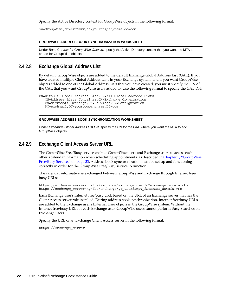Specify the Active Directory context for GroupWise objects in the following format:

ou=GroupWise,dc=*exchsvr*,dc=*yourcompanyname*,dc=com

#### **GROUPWISE ADDRESS BOOK SYNCHRONIZATION WORKSHEET**

Under *Base Context for GroupWise Objects*, specify the Active Directory context that you want the MTA to create for GroupWise objects.

#### <span id="page-21-0"></span>**2.4.2.8 Exchange Global Address List**

By default, GroupWise objects are added to the default Exchange Global Address List (GAL). If you have created multiple Global Address Lists in your Exchange system, and if you want GroupWise objects added to one of the Global Address Lists that you have created, you must specify the DN of the GAL that you want GroupWise users added to. Use the following format to specify the GAL DN:

```
CN=Default Global Address List,CN=All Global Address Lists,
   CN=Address Lists Container,CN=Exchange Organization,
   CN=Microsoft Exchange,CN=Services,CN=Configuration,
   DC=exchmail,DC=yourcompanyname,DC=com
```
#### **GROUPWISE ADDRESS BOOK SYNCHRONIZATION WORKSHEET**

Under *Exchange Global Address List DN*, specify the CN for the GAL where you want the MTA to add GroupWise objects.

#### <span id="page-21-1"></span>**2.4.2.9 Exchange Client Access Server URL**

The GroupWise Free/Busy service enables GroupWise users and Exchange users to access each other's calendar information when scheduling appointments, as described in [Chapter 3, "GroupWise](#page-32-3)  [Free/Busy Service," on page 33](#page-32-3). Address book synchronization must be set up and functioning correctly in order for the GroupWise Free/Busy service to function.

The calendar information is exchanged between GroupWise and Exchange through Internet free/ busy URLs:

https://*exchange\_server*/ngwfbs/exchange/*exchange\_userid*@*exchange\_domain*.vfb https://*exchange\_server*/ngwfbs/exchange/*gw\_userid*@*gw\_internet\_domain*.vfb

Each Exchange user's Internet free/busy URL based on the URL of an Exchange server that has the Client Access server role installed. During address book synchronization, Internet free/busy URLs are added to the Exchange user's External User objects in the GroupWise system. Without the Internet free/busy URL for each Exchange user, GroupWise users cannot perform Busy Searches on Exchange users.

Specify the URL of an Exchange Client Access server in the following format:

https://*exchange\_server*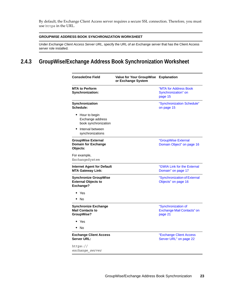By default, the Exchange Client Access server requires a secure SSL connection. Therefore, you must use https in the URL.

#### **GROUPWISE ADDRESS BOOK SYNCHRONIZATION WORKSHEET**

Under *Exchange Client Access Server URL*, specify the URL of an Exchange server that has the Client Access server role installed.

# <span id="page-22-0"></span>**2.4.3 GroupWise/Exchange Address Book Synchronization Worksheet**

<span id="page-22-1"></span>

| <b>ConsoleOne Field</b>                                                 | Value for Your GroupWise Explanation<br>or Exchange System |                                                              |
|-------------------------------------------------------------------------|------------------------------------------------------------|--------------------------------------------------------------|
| <b>MTA to Perform</b><br>Synchronization:                               |                                                            | "MTA for Address Book<br>Synchronization" on<br>page 15      |
| Synchronization<br>Schedule:                                            |                                                            | "Synchronization Schedule"<br>on page 15                     |
| • Hour to begin<br>Exchange address<br>book synchronization             |                                                            |                                                              |
| Interval between<br>synchronizations                                    |                                                            |                                                              |
| <b>GroupWise External</b><br><b>Domain for Exchange</b><br>Objects:     |                                                            | "GroupWise External<br>Domain Object" on page 16             |
| For example,<br>ExchangeSystem                                          |                                                            |                                                              |
| <b>Internet Agent for Default</b><br><b>MTA Gateway Link:</b>           |                                                            | "GWIA Link for the External<br>Domain" on page 17            |
| <b>Synchronize GroupWise</b><br><b>External Objects to</b><br>Exchange? |                                                            | "Synchronization of External<br>Objects" on page 16          |
| Yes                                                                     |                                                            |                                                              |
| No                                                                      |                                                            |                                                              |
| <b>Synchronize Exchange</b><br><b>Mail Contacts to</b><br>GroupWise?    |                                                            | "Synchronization of<br>Exchange Mail Contacts" on<br>page 21 |
| Yes                                                                     |                                                            |                                                              |
| No                                                                      |                                                            |                                                              |
| <b>Exchange Client Access</b><br>Server URL:                            |                                                            | "Exchange Client Access<br>Server URL" on page 22            |
| https://<br>exchange server                                             |                                                            |                                                              |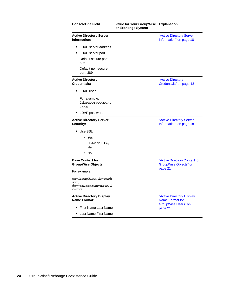| <b>ConsoleOne Field</b>                                | Value for Your GroupWise Explanation<br>or Exchange System |                                                        |  |  |
|--------------------------------------------------------|------------------------------------------------------------|--------------------------------------------------------|--|--|
| <b>Active Directory Server</b><br>Information:         |                                                            | "Active Directory Server<br>Information" on page 18    |  |  |
| LDAP server address<br>٠                               |                                                            |                                                        |  |  |
| LDAP server port                                       |                                                            |                                                        |  |  |
| Default secure port:<br>636                            |                                                            |                                                        |  |  |
| Default non-secure<br>port: 389                        |                                                            |                                                        |  |  |
| <b>Active Directory</b><br><b>Credentials:</b>         |                                                            | "Active Directory<br>Credentials" on page 18           |  |  |
| • LDAP user                                            |                                                            |                                                        |  |  |
| For example,<br>1dapuser@company<br>.com               |                                                            |                                                        |  |  |
| LDAP password                                          |                                                            |                                                        |  |  |
| <b>Active Directory Server</b><br>Security:            |                                                            | "Active Directory Server<br>Information" on page 18    |  |  |
| • Use SSL                                              |                                                            |                                                        |  |  |
| $\bullet$ Yes                                          |                                                            |                                                        |  |  |
| LDAP SSL key<br>file                                   |                                                            |                                                        |  |  |
| No<br>٠                                                |                                                            |                                                        |  |  |
| <b>Base Context for</b><br><b>GroupWise Objects:</b>   |                                                            | "Active Directory Context for<br>GroupWise Objects" on |  |  |
| For example:                                           |                                                            | page 21                                                |  |  |
| ou=GroupWise, dc=exch<br>SVY,                          |                                                            |                                                        |  |  |
| dc=yourcompanyname, d<br>$c = c$ om                    |                                                            |                                                        |  |  |
| <b>Active Directory Display</b><br><b>Name Format:</b> |                                                            | "Active Directory Display<br><b>Name Format for</b>    |  |  |
| First Name Last Name                                   |                                                            | <b>GroupWise Users" on</b><br>page 21                  |  |  |
| Last Name First Name                                   |                                                            |                                                        |  |  |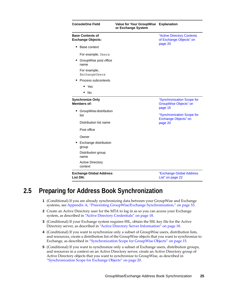| <b>ConsoleOne Field</b>                             | Value for Your GroupWise Explanation<br>or Exchange System |                                                                       |  |
|-----------------------------------------------------|------------------------------------------------------------|-----------------------------------------------------------------------|--|
| <b>Base Contexts of</b><br><b>Exchange Objects:</b> |                                                            | "Active Directory Contexts<br>of Exchange Objects" on                 |  |
| Base context                                        |                                                            | page 20                                                               |  |
| For example, Users                                  |                                                            |                                                                       |  |
| GroupWise post office<br>name                       |                                                            |                                                                       |  |
| For example,<br>ExchangeUsers                       |                                                            |                                                                       |  |
| Process subcontexts                                 |                                                            |                                                                       |  |
| $\bullet$ Yes                                       |                                                            |                                                                       |  |
| $\bullet$ No                                        |                                                            |                                                                       |  |
| <b>Synchronize Only</b><br><b>Members of:</b>       |                                                            | "Synchronization Scope for<br><b>GroupWise Objects" on</b><br>page 15 |  |
| GroupWise distribution<br>٠<br>list                 |                                                            | "Synchronization Scope for<br>Exchange Objects" on                    |  |
| Distribution list name                              |                                                            | page 20                                                               |  |
| Post office                                         |                                                            |                                                                       |  |
| Owner                                               |                                                            |                                                                       |  |
| Exchange distribution<br>group                      |                                                            |                                                                       |  |
| Distribution group<br>name                          |                                                            |                                                                       |  |
| <b>Active Directory</b><br>context                  |                                                            |                                                                       |  |
| <b>Exchange Global Address</b><br><b>List DN:</b>   |                                                            | "Exchange Global Address<br>List" on page 22                          |  |

# <span id="page-24-0"></span>**2.5 Preparing for Address Book Synchronization**

- **1** (Conditional) If you are already synchronizing data between your GroupWise and Exchange systems, see [Appendix A, "Preexisting GroupWise/Exchange Synchronization," on page 53](#page-52-2).
- **2** Create an Active Directory user for the MTA to log in as so you can access your Exchange system, as described in ["Active Directory Credentials" on page 18](#page-17-1).
- **3** (Conditional) If your Exchange system requires SSL, obtain the SSL key file for the Active Directory server, as described in ["Active Directory Server Information" on page 18.](#page-17-0)
- **4** (Conditional) If you want to synchronize only a subset of GroupWise users, distribution lists, and resources, create a distribution list of the GroupWise objects that you want to synchronize to Exchange, as described in ["Synchronization Scope for GroupWise Objects" on page 15](#page-14-2).
- **5** (Conditional) If you want to synchronize only a subset of Exchange users, distribution groups, and resources in a context on an Active Directory server, create an Active Directory group of Active Directory objects that you want to synchronize to GroupWise, as described in ["Synchronization Scope for Exchange Objects" on page 20](#page-19-1).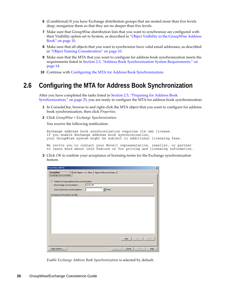- **6** (Conditional) If you have Exchange distribution groups that are nested more than five levels deep, reorganize them so that they are no deeper than five levels.
- **7** Make sure that GroupWise distribution lists that you want to synchronize are configured with their Visibility option set to System, as described in ["Object Visibility in the GroupWise Address](#page-9-1)  [Book" on page 10.](#page-9-1)
- **8** Make sure that all objects that you want to synchronize have valid email addresses, as described in ["Object Naming Consideration" on page 10.](#page-9-2)
- **9** Make sure that the MTA that you want to configure for address book synchronization meets the requirements listed in [Section 2.3, "Address Book Synchronization System Requirements," on](#page-13-0)  [page 14.](#page-13-0)
- **10** Continue with [Configuring the MTA for Address Book Synchronization](#page-25-0).

# <span id="page-25-0"></span>**2.6 Configuring the MTA for Address Book Synchronization**

After you have completed the tasks listed in [Section 2.5, "Preparing for Address Book](#page-24-0)  [Synchronization," on page 25,](#page-24-0) you are ready to configure the MTA for address book synchronization.

- **1** In ConsoleOne, browse to and right-click the MTA object that you want to configure for address book synchronization, then click *Properties*.
- **2** Click *GroupWise > Exchange Synchronization*.

You receive the following notification:

Exchange address book synchronization requires its own license. If you enable Exchange address book synchronization, your GroupWise system might be subject to additional licensing fees.

We invite you to contact your Novell representative, reseller, or partner to learn more about this feature or for pricing and licensing information.

**3** Click *OK* to confirm your acceptance of licensing terms for the Exchange synchronization feature.



*Enable Exchange Address Book Synchronization* is selected by default.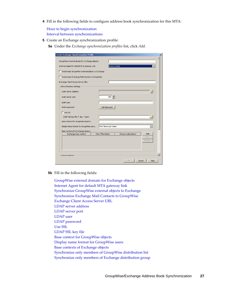<span id="page-26-1"></span>**4** Fill in the following fields to configure address book synchronization for this MTA:

[Hour to begin synchronization](#page-14-1) [Interval between synchronizations](#page-14-1)

- <span id="page-26-0"></span>**5** Create an Exchange synchronization profile:
	- **5a** Under the *Exchange synchronization profiles* list, click *Add*.

| <b>Create Exchange Synchronization Profile</b>       |                      |                     |                |  |
|------------------------------------------------------|----------------------|---------------------|----------------|--|
| GroupWise external domain for Exchange objects:      |                      |                     |                |  |
| Internet Agent for default MTA Gateway Link:         |                      | Provo1.GWIA         |                |  |
| □ Synchronize GroupWise external objects to Exchange |                      |                     |                |  |
| □ Synchronize Exchange Mail Contacts to GroupWise    |                      |                     |                |  |
|                                                      |                      |                     |                |  |
| Exchange Client Access Server URL:                   |                      |                     |                |  |
| Active Directory Settings                            |                      |                     |                |  |
| LDAP server address:                                 |                      |                     |                |  |
| LDAP server port:                                    |                      | 389 $\frac{4}{7}$   |                |  |
| LDAP user:                                           |                      |                     |                |  |
| LDAP password:                                       | Set Password         |                     |                |  |
| $\Box$ Use SSL                                       |                      |                     |                |  |
| LDAP SSL key file (*.der, *.pem)                     |                      |                     |                |  |
| Base context for GroupWise objects:                  |                      |                     |                |  |
| Display Name format for GroupWise users:             | First Name Last Name |                     |                |  |
| Base contexts for Exchange objects                   |                      |                     |                |  |
| Exchange base context                                | Post Office Name     | Process subcontexts | Add            |  |
|                                                      |                      |                     | Edit           |  |
|                                                      |                      |                     | Delete         |  |
|                                                      |                      |                     |                |  |
|                                                      |                      |                     |                |  |
| -Ontional Settings                                   |                      |                     |                |  |
|                                                      |                      |                     |                |  |
|                                                      |                      | OK                  | Cancel<br>Help |  |

**5b** Fill in the following fields:

[GroupWise external domain for Exchange objects](#page-15-0) [Internet Agent for default MTA gateway link](#page-16-1) [Synchronize GroupWise external objects to Exchange](#page-15-1) [Synchronize Exchange Mail Contacts to GroupWise](#page-20-0) [Exchange Client Access Server URL](#page-21-1) [LDAP server address](#page-17-0) [LDAP server port](#page-17-0) [LDAP user](#page-17-1) [LDAP password](#page-17-1) [Use SSL](#page-17-0) [LDAP SSL key file](#page-17-0) [Base context for GroupWise objects](#page-20-2) [Display name format for GroupWise users](#page-20-1) [Base contexts of Exchange objects](#page-19-0) [Synchronize only members of GroupWise distribution list](#page-14-2) [Synchronize only members of Exchange distribution group](#page-19-1)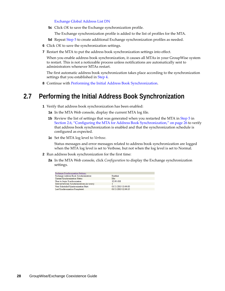#### [Exchange Global Address List DN](#page-21-0)

- **5c** Click *OK* to save the Exchange synchronization profile.
	- The Exchange synchronization profile is added to the list of profiles for the MTA.
- **5d** Repeat [Step 5](#page-26-0) to create additional Exchange synchronization profiles as needed.
- **6** Click *OK* to save the synchronization settings.
- **7** Restart the MTA to put the address book synchronization settings into effect.

When you enable address book synchronization, it causes all MTAs in your GroupWise system to restart. This is not a noticeable process unless notifications are automatically sent to administrators whenever MTAs restart.

The first automatic address book synchronization takes place according to the synchronization settings that you established in [Step 4.](#page-26-1)

**8** Continue with [Performing the Initial Address Book Synchronization.](#page-27-0)

# <span id="page-27-0"></span>**2.7 Performing the Initial Address Book Synchronization**

- **1** Verify that address book synchronization has been enabled:
	- **1a** In the MTA Web console, display the current MTA log file.
	- **1b** Review the list of settings that was generated when you restarted the MTA in [Step 5](#page-26-0) in [Section 2.6, "Configuring the MTA for Address Book Synchronization," on page 26](#page-25-0) to verify that address book synchronization is enabled and that the synchronization schedule is configured as expected.
	- **1c** Set the MTA log level to *Verbose*.

Status messages and error messages related to address book synchronization are logged when the MTA log level is set to Verbose, but not when the log level is set to Normal.

- <span id="page-27-1"></span>**2** Run address book synchronization for the first time:
	- **2a** In the MTA Web console, click *Configuration* to display the Exchange synchronization settings.

| <b>Exchange Synchronization Settings:</b>     |                     |
|-----------------------------------------------|---------------------|
| Exchange Address Book Synchronization:        | Enabled             |
| Current Synchronization Status:               | Idle                |
| Hour to begin Synchronizaton:                 | $12:00$ AM          |
| Interval between Synchronizations (in hours): |                     |
| Next Scheduled Synchronization Start:         | 01/21/2013 13:00:00 |
| Last Synchronization Completed:               | 01/21/2013 12:00:15 |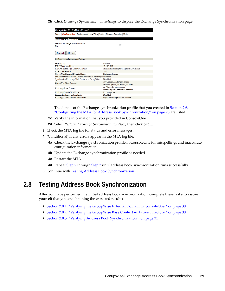**2b** Click *Exchange Synchronization Settings* to display the Exchange Synchronization page.



The details of the Exchange synchronization profile that you created in [Section 2.6,](#page-25-0)  ["Configuring the MTA for Address Book Synchronization," on page 26](#page-25-0) are listed.

- **2c** Verify the information that you provided in ConsoleOne.
- **2d** Select *Perform Exchange Synchronization Now*, then click *Submit*.
- <span id="page-28-1"></span>**3** Check the MTA log file for status and error messages.
- **4** (Conditional) If any errors appear in the MTA log file:
	- **4a** Check the Exchange synchronization profile in ConsoleOne for misspellings and inaccurate configuration information.
	- **4b** Update the Exchange synchronization profile as needed.
	- **4c** Restart the MTA.
	- **4d** Repeat [Step 2](#page-27-1) through [Step 3](#page-28-1) until address book synchronization runs successfully.
- <span id="page-28-2"></span>**5** Continue with [Testing Address Book Synchronization](#page-28-0).

# <span id="page-28-0"></span>**2.8 Testing Address Book Synchronization**

After you have performed the initial address book synchronization, complete these tasks to assure yourself that you are obtaining the expected results:

- [Section 2.8.1, "Verifying the GroupWise External Domain in ConsoleOne," on page 30](#page-29-0)
- [Section 2.8.2, "Verifying the GroupWise Base Context in Active Directory," on page 30](#page-29-1)
- [Section 2.8.3, "Verifying Address Book Synchronization," on page 31](#page-30-0)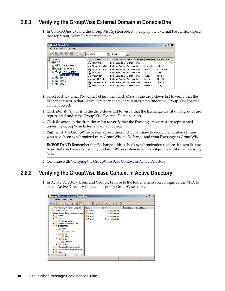## <span id="page-29-0"></span>**2.8.1 Verifying the GroupWise External Domain in ConsoleOne**

**1** In ConsoleOne, expand the GroupWise System object to display the External Post Office objects that represent Active Directory contexts.

| <b>C</b> Novell ConsoleOne                   |                                                      |                              |                  |           | $\Box$ o $\Box$ |
|----------------------------------------------|------------------------------------------------------|------------------------------|------------------|-----------|-----------------|
| Edit<br>View<br><b>Tools</b><br>Help<br>File |                                                      |                              |                  |           |                 |
| 社<br>C                                       | <b>B</b> Users                                       | D Sort                       |                  |           |                 |
| IA)<br>My World                              | Object ID                                            | Domain Name                  | Post Office Name | Last Name | Given Name      |
| <b>P</b> NDS<br>Ėŀ                           | IB.<br>Administrator                                 | ExchangeSystem               | ExchangeUsers    |           |                 |
|                                              | IЗ<br>Clifford Reynolds                              | ExchangeSystem               | ExchangeUsers    | Reynolds  | Clifford        |
| ∙ି <mark>ହିହ</mark> GroupWise System<br>Ė.   | IA.<br>Exchange Coexist ExchangeSystem ExchangeUsers |                              |                  | User      | Exchange C      |
| 白 (C) ExchangeSystem                         | le.<br>Jose Ator                                     | ExchangeSystem ExchangeUsers |                  | Ator      | Jose            |
| <b>Lis</b> ExchangeUsers                     | ∥LA Krista Olsen                                     | ExchangeSystem ExchangeUsers |                  | Olsen     | Krista          |
| 由 (2 Provo1                                  | IB.<br>Meredith Dozier                               | ExchangeSystem               | ExchangeUsers    | Dozier    | Meredith        |
| <b>B</b> Provo2<br>审                         | ΙG<br>Sheldon Garnica                                | ExchangeSystem ExchangeUsers |                  | Garnica   | Sheldon         |
| 由 (2) Provo3                                 | IA.<br>Terry Hadfield                                | ExchangeSystem ExchangeUsers |                  | Hadfield  | Terry           |

- **2** Select each External Post Office object, then click *Users* in the drop-down list to verify that the Exchange users in that Active Directory context are represented under the GroupWise External Domain object.
- **3** Click *Distribution Lists* in the drop-down list to verify that the Exchange distribution groups are represented under the GroupWise External Domain object.
- **4** Click *Resources* in the drop-down list to verify that the Exchange resources are represented under the GroupWise External Domain object.
- **5** Right-click the GroupWise System object, then click *Information* to verify the number of users who have been synchronized from GroupWise to Exchange and from Exchange to GroupWise.

**IMPORTANT:** Remember that Exchange address book synchronization requires its own license. Now that you have enabled it, your GroupWise system might be subject to additional licensing fees.

**6** Continue with [Verifying the GroupWise Base Context in Active Directory](#page-29-1).

### <span id="page-29-1"></span>**2.8.2 Verifying the GroupWise Base Context in Active Directory**

**1** In Active Directory Users and Groups, browse to the folder where you configured the MTA to create Active Directory Contact objects for GroupWise users.

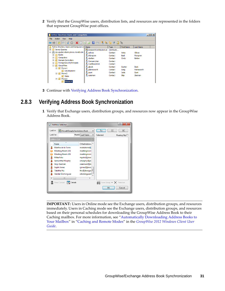**2** Verify that the GroupWise users, distribution lists, and resources are represented in the folders that represent GroupWise post offices.

| <b>Active Directory Users and Computers</b>         |                                        |             |                   |                  | $    -$ |
|-----------------------------------------------------|----------------------------------------|-------------|-------------------|------------------|---------|
| File<br><b>Help</b><br>Action<br><b>View</b>        |                                        |             |                   |                  |         |
| d<br>п<br>$\overline{\mathbb{R}}$<br>臣              | $\vert$ ?<br>ß.<br>扇<br>Îа.<br> ∋<br>a | Ħ           | 38                |                  |         |
| Active Directory Users and Computers [              | Name                                   | Type        | <b>First Name</b> | <b>Last Name</b> |         |
| <b>Saved Queries</b><br>$\overline{+}$              | ResearchDistributionList               | Distributio |                   |                  |         |
| prv-gwdoc-share.provo.novell.com<br>$\Box$          | ደ<br>aolivos                           | Contact     | Anita             | Olivos           |         |
| <b>Builtin</b><br>$\overline{+}$                    | bforsgren<br>×.                        | Contact     | Basil             | Forsgren         |         |
| <b>Computers</b><br>$\overline{+}$                  | cbolton<br>×.                          | Contact     | Cindy             | Bolton           |         |
| <b>Domain Controllers</b><br>$\overline{+}$         | CompanyVan                             | Contact     |                   |                  |         |
| <b>ForeignSecurityPrincipals</b><br>$\overline{+}$  | ConfRoom518                            | Contact     |                   |                  |         |
| GroupWise<br>$\Box$<br>۵Ť                           | gbock<br>y.                            | Contact     | Gustav            | <b>Bock</b>      |         |
| <b>Ell</b> Provo1<br>$\Box$                         | gfarnsworth                            | Contact     | Greg              | Farnsworth       |         |
| <b>Development</b><br>e.<br>Provo <sub>2</sub><br>F | x.<br>isumi                            | Contact     | Jade              | Sumi             |         |
| a Sales                                             | x.<br>szeeman                          | Contact     | Skip              | Zeeman           |         |
| Provo3<br>E.<br>Ξ                                   |                                        |             |                   |                  |         |
| Research<br>ø                                       |                                        |             |                   |                  |         |

**3** Continue with [Verifying Address Book Synchronization.](#page-30-0)

### <span id="page-30-0"></span>**2.8.3 Verifying Address Book Synchronization**

**1** Verify that Exchange users, distribution groups, and resources now appear in the GroupWise Address Book.

|               | <b>Address Selector</b>                           |                               |                                | P<br>$\overline{\mathbf{x}}$ |
|---------------|---------------------------------------------------|-------------------------------|--------------------------------|------------------------------|
| Look in:      |                                                   | Novell GroupWise Address Book | To<br>CC.                      | BC.                          |
| Look for:     |                                                   | Match: Last Name              | Selected:                      | Routing Slip                 |
| Address List: |                                                   |                               |                                |                              |
| Name          | ۸                                                 | E-Mail Address A              |                                |                              |
| Ω             | Martha de la Torre                                | mdelatorre@                   |                                |                              |
|               | Meeting Room 101                                  | meetingroom                   |                                |                              |
|               | Meeting Room 201                                  | meetingroom                   |                                |                              |
| Ω             | <b>Mike Palu</b>                                  | mpalu@jboo                    |                                |                              |
| Ω             | Samantha Murphy                                   | smurphy@jbi                   |                                |                              |
| Ω             | Skip Zeeman                                       | szeeman@jbc                   |                                |                              |
| Ω             | Sophi Jones                                       | sjones@jboor                  |                                |                              |
| Я             | <b>Tabitha Hu</b>                                 | thu@jboogaa                   |                                |                              |
| Ω             | Xander Dominguez                                  | xdominguez                    |                                |                              |
|               | Ш                                                 | ۱                             |                                |                              |
|               | New Contact<br>Details<br>$\overline{\mathbf{q}}$ |                               | ■ Save Group ▼ $\times$ Remove |                              |
|               |                                                   |                               | OK                             | Cancel                       |

**IMPORTANT:** Users in Online mode see the Exchange users, distribution groups, and resources immediately. Users in Caching mode see the Exchange users, distribution groups, and resources based on their personal schedules for downloading the GroupWise Address Book to their Caching mailbox. For more information, see "[Automatically Downloading Address Books to](http://www.novell.com/documentation/groupwise2012/pdfdoc/gw2012_guide_userwin/gw2012_guide_userwin.pdf#bw6edwd)  [Your Mailbox](http://www.novell.com/documentation/groupwise2012/pdfdoc/gw2012_guide_userwin/gw2012_guide_userwin.pdf#bw6edwd)" in "[Caching and Remote Modes"](http://www.novell.com/documentation/groupwise2012/pdfdoc/gw2012_guide_userwin/gw2012_guide_userwin.pdf#b9yfefv) in the *[GroupWise 2012 Windows Client User](http://www.novell.com/documentation/groupwise2012/pdfdoc/gw2012_guide_userwin/gw2012_guide_userwin.pdf#Ab32nt1)  [Guide](http://www.novell.com/documentation/groupwise2012/pdfdoc/gw2012_guide_userwin/gw2012_guide_userwin.pdf#Ab32nt1)*.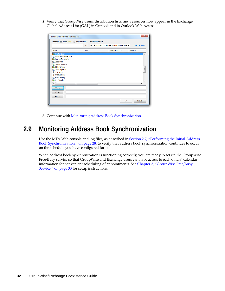**2** Verify that GroupWise users, distribution lists, and resources now appear in the Exchange Global Address List (GAL) in Outlook and in Outlook Web Access.

| Search: O Name only More columns         |       | <b>Address Book</b>                                    |                       |                      |   |
|------------------------------------------|-------|--------------------------------------------------------|-----------------------|----------------------|---|
|                                          | Go    | Global Address List - kolsen@prv-gwdoc-shar $\epsilon$ |                       | <b>Advanced Find</b> |   |
| Name                                     | Title |                                                        | <b>Business Phone</b> | Location             |   |
| & Gustav Bock                            |       |                                                        |                       |                      | ▴ |
| <b>&amp;</b> GW Coexistence User         |       |                                                        |                       |                      |   |
| <b>Co</b> Harriet Sarmiento              |       |                                                        |                       |                      |   |
| <b>Sa</b> Jade Sumi                      |       |                                                        |                       |                      |   |
| <b>See Jason Stevens</b>                 |       |                                                        |                       |                      |   |
| Jill Peterson<br>ಒ                       |       |                                                        |                       |                      | Ξ |
| <b>See Jon Pangilinan</b><br>& Jose Ator |       |                                                        |                       |                      |   |
| & Krista Olsen                           |       |                                                        |                       |                      |   |
| & Kuan Huang                             |       |                                                        |                       |                      |   |
| Lori Tanaka                              |       |                                                        |                       |                      |   |
|                                          |       |                                                        |                       |                      |   |
| m.                                       |       |                                                        |                       |                      | ۱ |
| $To ->$                                  |       |                                                        |                       |                      |   |
|                                          |       |                                                        |                       |                      |   |
| $Cc \rightarrow$                         |       |                                                        |                       |                      |   |
| $Bcc -$                                  |       |                                                        |                       |                      |   |
|                                          |       |                                                        |                       |                      |   |

**3** Continue with [Monitoring Address Book Synchronization.](#page-31-0)

# <span id="page-31-0"></span>**2.9 Monitoring Address Book Synchronization**

Use the MTA Web console and log files, as described in [Section 2.7, "Performing the Initial Address](#page-27-0)  [Book Synchronization," on page 28](#page-27-0), to verify that address book synchronization continues to occur on the schedule you have configured for it.

When address book synchronization is functioning correctly, you are ready to set up the GroupWise Free/Busy service so that GroupWise and Exchange users can have access to each others' calendar information for convenient scheduling of appointments. See [Chapter 3, "GroupWise Free/Busy](#page-32-3)  [Service," on page 33](#page-32-3) for setup instructions.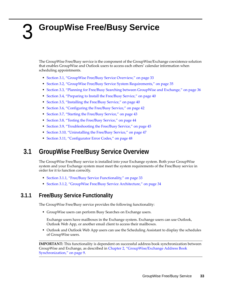# <span id="page-32-0"></span>3 <sup>3</sup>**GroupWise Free/Busy Service**

<span id="page-32-3"></span>The GroupWise Free/Busy service is the component of the GroupWise/Exchange coexistence solution that enables GroupWise and Outlook users to access each others' calendar information when scheduling appointments.

- [Section 3.1, "GroupWise Free/Busy Service Overview," on page 33](#page-32-1)
- [Section 3.2, "GroupWise Free/Busy Service System Requirements," on page 35](#page-34-0)
- [Section 3.3, "Planning for Free/Busy Searching between GroupWise and Exchange," on page 36](#page-35-1)
- [Section 3.4, "Preparing to Install the Free/Busy Service," on page 40](#page-39-0)
- [Section 3.5, "Installing the Free/Busy Service," on page 40](#page-39-1)
- [Section 3.6, "Configuring the Free/Busy Service," on page 42](#page-41-0)
- [Section 3.7, "Starting the Free/Busy Service," on page 43](#page-42-0)
- [Section 3.8, "Testing the Free/Busy Service," on page 44](#page-43-0)
- [Section 3.9, "Troubleshooting the Free/Busy Service," on page 45](#page-44-0)
- [Section 3.10, "Uninstalling the Free/Busy Service," on page 47](#page-46-1)
- [Section 3.11, "Configurator Error Codes," on page 48](#page-47-0)

# <span id="page-32-1"></span>**3.1 GroupWise Free/Busy Service Overview**

The GroupWise Free/Busy service is installed into your Exchange system. Both your GroupWise system and your Exchange system must meet the system requirements of the Free/Busy service in order for it to function correctly.

- [Section 3.1.1, "Free/Busy Service Functionality," on page 33](#page-32-2)
- [Section 3.1.2, "GroupWise Free/Busy Service Architecture," on page 34](#page-33-0)

### <span id="page-32-2"></span>**3.1.1 Free/Busy Service Functionality**

The GroupWise Free/Busy service provides the following functionality:

GroupWise users can perform Busy Searches on Exchange users.

Exchange users have mailboxes in the Exchange system. Exchange users can use Outlook, Outlook Web App, or another email client to access their mailboxes.

 Outlook and Outlook Web App users can use the Scheduling Assistant to display the schedules of GroupWise users.

**IMPORTANT:** This functionality is dependent on successful address book synchronization between GroupWise and Exchange, as described in [Chapter 2, "GroupWise/Exchange Address Book](#page-8-2)  [Synchronization," on page 9](#page-8-2).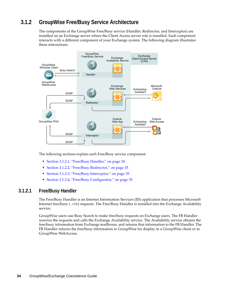## <span id="page-33-0"></span>**3.1.2 GroupWise Free/Busy Service Architecture**

The components of the GroupWise Free/Busy service (Handler, Redirector, and Interceptor) are installed on an Exchange server where the Client Access server role is installed. Each component interacts with a different component of your Exchange system. The following diagram illustrates these interactions:



The following sections explain each Free/Busy service component:

- [Section 3.1.2.1, "Free/Busy Handler," on page 34](#page-33-1)
- [Section 3.1.2.2, "Free/Busy Redirector," on page 35](#page-34-3)
- [Section 3.1.2.3, "Free/Busy Interceptor," on page 35](#page-34-4)
- [Section 3.1.2.4, "Free/Busy Configurator," on page 35](#page-34-5)

#### <span id="page-33-1"></span>**3.1.2.1 Free/Busy Handler**

The Free/Busy Handler is an Internet Information Services (IIS) application that processes Microsoft Internet free/busy (.vfb) requests. The Free/Busy Handler is installed into the Exchange Availability service.

GroupWise users use Busy Search to make free/busy requests on Exchange users. The FB Handler receives the requests and calls the Exchange Availability service. The Availability service obtains the free/busy information from Exchange mailboxes, and returns that information to the FB Handler. The FB Handler returns the free/busy information to GroupWise for display in a GroupWise client or in GroupWise WebAccess.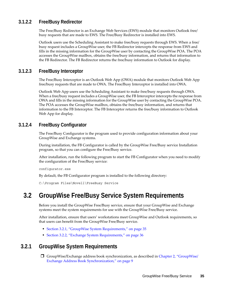### <span id="page-34-3"></span>**3.1.2.2 Free/Busy Redirector**

The Free/Busy Redirector is an Exchange Web Services (EWS) module that monitors Outlook free/ busy requests that are made to EWS. The Free/Busy Redirector is installed into EWS.

Outlook users use the Scheduling Assistant to make free/busy requests through EWS. When a free/ busy request includes a GroupWise user, the FB Redirector intercepts the response from EWS and fills in the missing information for the GroupWise user by contacting the GroupWise POA. The POA accesses the GroupWise mailbox, obtains the free/busy information, and returns that information to the FB Redirector. The FB Redirector returns the free/busy information to Outlook for display.

### <span id="page-34-4"></span>**3.1.2.3 Free/Busy Interceptor**

The Free/Busy Interceptor is an Outlook Web App (OWA) module that monitors Outlook Web App free/busy requests that are made to OWA. The Free/Busy Interceptor is installed into OWA.

Outlook Web App users use the Scheduling Assistant to make free/busy requests through OWA. When a free/busy request includes a GroupWise user, the FB Interceptor intercepts the response from OWA and fills in the missing information for the GroupWise user by contacting the GroupWise POA. The POA accesses the GroupWise mailbox, obtains the free/busy information, and returns that information to the FB Interceptor. The FB Interceptor returns the free/busy information to Outlook Web App for display.

### <span id="page-34-5"></span>**3.1.2.4 Free/Busy Configurator**

The Free/Busy Configurator is the program used to provide configuration information about your GroupWise and Exchange systems.

During installation, the FB Configurator is called by the GroupWise Free/Busy service Installation program, so that you can configure the Free/Busy service.

After installation, run the following program to start the FB Configurator when you need to modify the configuration of the Free/Busy service:

configurator.exe

By default, the FB Configurator program is installed to the following directory:

<span id="page-34-2"></span>C:\Program Files\Novell\FreeBusy Service

# <span id="page-34-0"></span>**3.2 GroupWise Free/Busy Service System Requirements**

Before you install the GroupWise Free/Busy service, ensure that your GroupWise and Exchange systems meet the system requirements for use with the GroupWise Free/Busy service.

After installation, ensure that users' workstations meet GroupWise and Outlook requirements, so that users can benefit from the GroupWise Free/Busy service.

- [Section 3.2.1, "GroupWise System Requirements," on page 35](#page-34-1)
- [Section 3.2.2, "Exchange System Requirements," on page 36](#page-35-0)

### <span id="page-34-1"></span>**3.2.1 GroupWise System Requirements**

 GroupWise/Exchange address book synchronization, as described in [Chapter 2, "GroupWise/](#page-8-2) [Exchange Address Book Synchronization," on page 9](#page-8-2)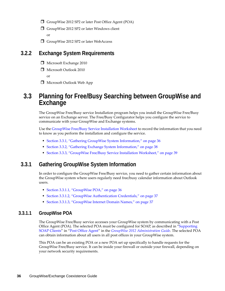- GroupWise 2012 SP2 or later Post Office Agent (POA)
- $\Box$  GroupWise 2012 SP2 or later Windows client or
- GroupWise 2012 SP2 or later WebAccess

### <span id="page-35-0"></span>**3.2.2 Exchange System Requirements**

- Microsoft Exchange 2010
- Microsoft Outlook 2010

or

Microsoft Outlook Web App

# <span id="page-35-1"></span>**3.3 Planning for Free/Busy Searching between GroupWise and Exchange**

The GroupWise Free/Busy service Installation program helps you install the GroupWise Free/Busy service on an Exchange server. The Free/Busy Configurator helps you configure the service to communicate with your GroupWise and Exchange systems.

Use the [GroupWise Free/Busy Service Installation Worksheet](#page-38-0) to record the information that you need to know as you perform the installation and configure the service.

- [Section 3.3.1, "Gathering GroupWise System Information," on page 36](#page-35-2)
- [Section 3.3.2, "Gathering Exchange System Information," on page 38](#page-37-0)
- [Section 3.3.3, "GroupWise Free/Busy Service Installation Worksheet," on page 39](#page-38-0)

### <span id="page-35-2"></span>**3.3.1 Gathering GroupWise System Information**

In order to configure the GroupWise Free/Busy service, you need to gather certain information about the GroupWise system where users regularly need free/busy calendar information about Outlook users.

- [Section 3.3.1.1, "GroupWise POA," on page 36](#page-35-3)
- [Section 3.3.1.2, "GroupWise Authentication Credentials," on page 37](#page-36-1)
- [Section 3.3.1.3, "GroupWise Internet Domain Names," on page 37](#page-36-0)

### <span id="page-35-3"></span>**3.3.1.1 GroupWise POA**

The GroupWise Free/Busy service accesses your GroupWise system by communicating with a Post Office Agent (POA). The selected POA must be configured for SOAP, as described in ["Supporting](http://www.novell.com/documentation/groupwise2012/pdfdoc/gw2012_guide_admin/gw2012_guide_admin.pdf#bw907uo)  [SOAP Clients](http://www.novell.com/documentation/groupwise2012/pdfdoc/gw2012_guide_admin/gw2012_guide_admin.pdf#bw907uo)" in ["Post Office Agent"](http://www.novell.com/documentation/groupwise2012/pdfdoc/gw2012_guide_admin/gw2012_guide_admin.pdf#A84jmbe) in the *[GroupWise 2012 Administration Guide](http://www.novell.com/documentation/groupwise2012/pdfdoc/gw2012_guide_admin/gw2012_guide_admin.pdf#A2zvyc4)*. The selected POA can obtain information about all users in all post offices in your GroupWise system.

This POA can be an existing POA or a new POA set up specifically to handle requests for the GroupWise Free/Busy service. It can be inside your firewall or outside your firewall, depending on your network security requirements.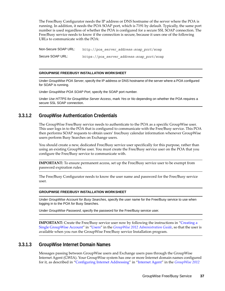The Free/Busy Configurator needs the IP address or DNS hostname of the server where the POA is running. In addition, it needs the POA SOAP port, which is 7191 by default. Typically, the same port number is used regardless of whether the POA is configured for a secure SSL SOAP connection. The Free/Busy service needs to know if the connection is secure, because it uses one of the following URLs to communicate with the POA:

Non-Secure SOAP URL: http://*poa\_server\_address*:*soap\_port*/soap Secure SOAP URL: https://*poa\_server\_address*:*soap\_port*/soap

#### **GROUPWISE FREE/BUSY INSTALLATION WORKSHEET**

Under *GroupWise POA Server*, specify the IP address or DNS hostname of the server where a POA configured for SOAP is running.

Under *GroupWise POA SOAP Port*, specify the SOAP port number.

Under *Use HTTPS for GroupWise Server Access*, mark *Yes* or *No* depending on whether the POA requires a secure SSL SOAP connection.

### <span id="page-36-1"></span>**3.3.1.2 GroupWise Authentication Credentials**

The GroupWise Free/Busy service needs to authenticate to the POA as a specific GroupWise user. This user logs in to the POA that is configured to communicate with the Free/Busy service. This POA then performs SOAP requests to obtain users' free/busy calendar information whenever GroupWise users perform Busy Searches on Exchange users.

You should create a new, dedicated Free/Busy service user specifically for this purpose, rather than using an existing GroupWise user. You must create the Free/Busy service user on the POA that you configure the Free/Busy service to communicate with.

**IMPORTANT:** To ensure permanent access, set up the Free/Busy service user to be exempt from password expiration rules.

The Free/Busy Configurator needs to know the user name and password for the Free/Busy service user.

#### **GROUPWISE FREE/BUSY INSTALLATION WORKSHEET**

Under *GroupWise Account for Busy Searches*, specify the user name for the Free/Busy service to use when logging in to the POA for Busy Searches.

Under *GroupWise Password*, specify the password for the Free/Busy service user.

**IMPORTANT:** Create the Free/Busy service user now by following the instructions in "[Creating a](http://www.novell.com/documentation/groupwise2012/pdfdoc/gw2012_guide_admin/gw2012_guide_admin.pdf#A3n34ni)  [Single GroupWise Account"](http://www.novell.com/documentation/groupwise2012/pdfdoc/gw2012_guide_admin/gw2012_guide_admin.pdf#A3n34ni) in "[Users"](http://www.novell.com/documentation/groupwise2012/pdfdoc/gw2012_guide_admin/gw2012_guide_admin.pdf#A7q4x8x) in the *[GroupWise 2012 Administration Guide](http://www.novell.com/documentation/groupwise2012/pdfdoc/gw2012_guide_admin/gw2012_guide_admin.pdf#A2zvyc4)*, so that the user is available when you run the GroupWise Free/Busy service Installation program.

#### <span id="page-36-0"></span>**3.3.1.3 GroupWise Internet Domain Names**

Messages passing between GroupWise users and Exchange users pass through the GroupWise Internet Agent (GWIA). Your GroupWise system has one or more Internet domain names configured for it, as described in "[Configuring Internet Addressing"](http://www.novell.com/documentation/groupwise2012/pdfdoc/gw2012_guide_admin/gw2012_guide_admin.pdf#Ac6qeop) in ["Internet Agent](http://www.novell.com/documentation/groupwise2012/pdfdoc/gw2012_guide_admin/gw2012_guide_admin.pdf#A7q50pq)" in the *[GroupWise 2012](http://www.novell.com/documentation/groupwise2012/pdfdoc/gw2012_guide_admin/gw2012_guide_admin.pdf#A2zvyc4)*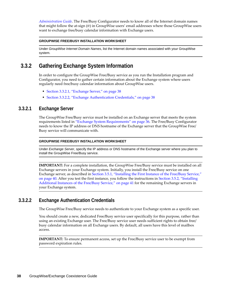*[Administration Guide](http://www.novell.com/documentation/groupwise2012/pdfdoc/gw2012_guide_admin/gw2012_guide_admin.pdf#A2zvyc4)*. The Free/Busy Configurator needs to know all of the Internet domain names that might follow the at-sign (@) in GroupWise users' email addresses where those GroupWise users want to exchange free/busy calendar information with Exchange users.

#### **GROUPWISE FREE/BUSY INSTALLATION WORKSHEET**

Under *GroupWise Internet Domain Names*, list the Internet domain names associated with your GroupWise system.

### <span id="page-37-0"></span>**3.3.2 Gathering Exchange System Information**

In order to configure the GroupWise Free/Busy service as you run the Installation program and Configurator, you need to gather certain information about the Exchange system where users regularly need free/busy calendar information about GroupWise users.

- [Section 3.3.2.1, "Exchange Server," on page 38](#page-37-1)
- [Section 3.3.2.2, "Exchange Authentication Credentials," on page 38](#page-37-2)

#### <span id="page-37-1"></span>**3.3.2.1 Exchange Server**

The GroupWise Free/Busy service must be installed on an Exchange server that meets the system requirements listed in ["Exchange System Requirements" on page 36.](#page-35-0) The Free/Busy Configurator needs to know the IP address or DNS hostname of the Exchange server that the GroupWise Free/ Busy service will communicate with.

#### **GROUPWISE FREE/BUSY INSTALLATION WORKSHEET**

Under *Exchange Server*, specify the IP address or DNS hostname of the Exchange server where you plan to install the GroupWise Free/Busy service.

**IMPORTANT:** For a complete installation, the GroupWise Free/Busy service must be installed on all Exchange servers in your Exchange system. Initially, you install the Free/Busy service on one Exchange server, as described in [Section 3.5.1, "Installing the First Instance of the Free/Busy Service,"](#page-39-2)  [on page 40.](#page-39-2) After you test the first instance, you follow the instructions in [Section 3.5.2, "Installing](#page-40-0)  [Additional Instances of the Free/Busy Service," on page 41](#page-40-0) for the remaining Exchange servers in your Exchange system.

### <span id="page-37-2"></span>**3.3.2.2 Exchange Authentication Credentials**

The GroupWise Free/Busy service needs to authenticate to your Exchange system as a specific user.

You should create a new, dedicated Free/Busy service user specifically for this purpose, rather than using an existing Exchange user. The Free/Busy service user needs sufficient rights to obtain free/ busy calendar information on all Exchange users. By default, all users have this level of mailbox access.

**IMPORTANT:** To ensure permanent access, set up the Free/Busy service user to be exempt from password expiration rules.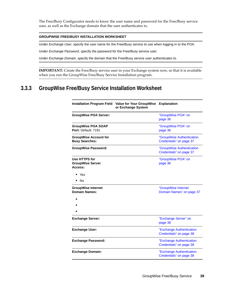The Free/Busy Configurator needs to know the user name and password for the Free/Busy service user, as well as the Exchange domain that the user authenticates to.

#### **GROUPWISE FREE/BUSY INSTALLATION WORKSHEET**

Under *Exchange User*, specify the user name for the Free/Busy service to use when logging in to the POA.

Under *Exchange Password*, specify the password for the Free/Busy service user.

Under *Exchange Domain*, specify the domain that the Free/Busy service user authenticates to.

**IMPORTANT:** Create the Free/Busy service user in your Exchange system now, so that it is available when you run the GroupWise Free/Busy Service Installation program.

# <span id="page-38-0"></span>**3.3.3 GroupWise Free/Busy Service Installation Worksheet**

|                                                       | Installation Program Field Value for Your GroupWise<br>or Exchange System | <b>Explanation</b>                                   |
|-------------------------------------------------------|---------------------------------------------------------------------------|------------------------------------------------------|
| <b>GroupWise POA Server:</b>                          |                                                                           | "GroupWise POA" on<br>page 36                        |
| <b>GroupWise POA SOAP</b><br>Port: Default: 7191      |                                                                           | "GroupWise POA" on<br>page 36                        |
| <b>GroupWise Account for</b><br><b>Busy Searches:</b> |                                                                           | "GroupWise Authentication<br>Credentials" on page 37 |
| <b>GroupWise Password:</b>                            |                                                                           | "GroupWise Authentication<br>Credentials" on page 37 |
| Use HTTPS for<br><b>GroupWise Server</b><br>Access:   |                                                                           | "GroupWise POA" on<br>page 36                        |
| $\bullet\;$ Yes<br>No                                 |                                                                           |                                                      |
| <b>GroupWise Internet</b><br><b>Domain Names:</b>     |                                                                           | "GroupWise Internet<br>Domain Names" on page 37      |
|                                                       |                                                                           |                                                      |
| <b>Exchange Server:</b>                               |                                                                           | "Exchange Server" on<br>page 38                      |
| <b>Exchange User:</b>                                 |                                                                           | "Exchange Authentication<br>Credentials" on page 38  |
| <b>Exchange Password:</b>                             |                                                                           | "Exchange Authentication<br>Credentials" on page 38  |
| <b>Exchange Domain:</b>                               |                                                                           | "Exchange Authentication<br>Credentials" on page 38  |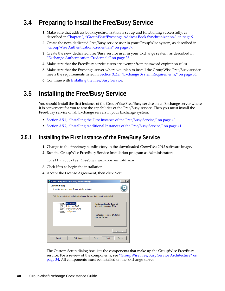# <span id="page-39-0"></span>**3.4 Preparing to Install the Free/Busy Service**

- **1** Make sure that address book synchronization is set up and functioning successfully, as described in [Chapter 2, "GroupWise/Exchange Address Book Synchronization," on page 9.](#page-8-2)
- **2** Create the new, dedicated Free/Busy service user in your GroupWise system, as described in ["GroupWise Authentication Credentials" on page 37](#page-36-1).
- **3** Create the new, dedicated Free/Busy service user in your Exchange system, as described in ["Exchange Authentication Credentials" on page 38](#page-37-2).
- **4** Make sure that the Free/Busy service users are exempt from password expiration rules.
- **5** Make sure that the Exchange server where you plan to install the GroupWise Free/Busy service meets the requirements listed in [Section 3.2.2, "Exchange System Requirements," on page 36](#page-35-0).
- **6** Continue with [Installing the Free/Busy Service.](#page-39-1)

# <span id="page-39-1"></span>**3.5 Installing the Free/Busy Service**

You should install the first instance of the GroupWise Free/Busy service on an Exchange server where it is convenient for you to test the capabilities of the Free/Busy service. Then you must install the Free/Busy service on all Exchange servers in your Exchange system.

- [Section 3.5.1, "Installing the First Instance of the Free/Busy Service," on page 40](#page-39-2)
- [Section 3.5.2, "Installing Additional Instances of the Free/Busy Service," on page 41](#page-40-0)

### <span id="page-39-2"></span>**3.5.1 Installing the First Instance of the Free/Busy Service**

- **1** Change to the freebusy subdirectory in the downloaded *GroupWise 2012* software image.
- **2** Run the GroupWise Free/Busy Service Installation program as Administrator:

novell groupwise freebusy service en x64.exe

- **3** Click *Next* to begin the installation.
- **4** Accept the License Agreement, then click *Next*.

| Novell GroupWise Free/Busy Service Setup                                        |                                                             |
|---------------------------------------------------------------------------------|-------------------------------------------------------------|
| <b>Custom Setup</b><br>Select the way you want features to be installed.        |                                                             |
| Click the icons in the tree below to change the way features will be installed. |                                                             |
| Handler (IIS)<br>Redirector (EWS)<br>Interceptor (OWA)<br>Configurator          | Handler modules for Internet<br>Information Services (IIS). |
|                                                                                 | This feature requires 2964KB on<br>your hard drive.         |
|                                                                                 | Browse                                                      |
| <b>Disk Usage</b><br>Reset                                                      | <b>Back</b><br>Cancel<br><b>Next</b>                        |

The Custom Setup dialog box lists the components that make up the GroupWise Free/Busy service. For a review of the components, see ["GroupWise Free/Busy Service Architecture" on](#page-33-0)  [page 34.](#page-33-0) All components must be installed on the Exchange server.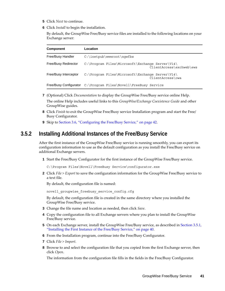- **5** Click *Next* to continue.
- **6** Click *Install* to begin the installation.

By default, the GroupWise Free/Busy service files are installed to the following locations on your Exchange server:

| Component                | Location                                                        |                          |
|--------------------------|-----------------------------------------------------------------|--------------------------|
| <b>Free/Busy Handler</b> | $C:\line{\b$                                                    |                          |
| Free/Busy Redirector     | C:\Program Files\Microsoft\Exchange Server\V14\                 | ClientAccess\exchweb\ews |
| Free/Busy Interceptor    | C:\Program Files\Microsoft\Exchange Server\V14\                 | ClientAccess\owa         |
|                          | Free/Busy Configurator C:\Program Files\Novell\FreeBusy Service |                          |

- **7** (Optional) Click *Documentation* to display the GroupWise Free/Busy service online Help. The online Help includes useful links to this *GroupWise/Exchange Coexistence Guide* and other GroupWise guides.
- **8** Click *Finish* to exit the GroupWise Free/Busy service Installation program and start the Free/ Busy Configurator.
- **9** Skip to [Section 3.6, "Configuring the Free/Busy Service," on page 42.](#page-41-0)

### <span id="page-40-0"></span>**3.5.2 Installing Additional Instances of the Free/Busy Service**

After the first instance of the GroupWise Free/Busy service is running smoothly, you can export its configuration information to use as the default configuration as you install the Free/Busy service on additional Exchange servers.

**1** Start the Free/Busy Configurator for the first instance of the GroupWise Free/Busy service.

C:\Program Files\Novell\FreeBusy Service\configurator.exe

**2** Click *File > Export* to save the configuration information for the GroupWise Free/Busy service to a text file.

By default, the configuration file is named:

novell\_groupwise\_freebusy\_service\_config.cfg

By default, the configuration file is created in the same directory where you installed the GroupWise Free/Busy service.

- **3** Change the file name and location as needed, then click *Save*.
- **4** Copy the configuration file to all Exchange servers where you plan to install the GroupWise Free/Busy service.
- **5** On each Exchange server, install the GroupWise Free/Busy service, as described in [Section 3.5.1,](#page-39-2)  ["Installing the First Instance of the Free/Busy Service," on page 40.](#page-39-2)
- **6** From the Installation program, continue into the Free/Busy Configurator.
- **7** Click *File > Import*.
- **8** Browse to and select the configuration file that you copied from the first Exchange server, then click *Open*.

The information from the configuration file fills in the fields in the Free/Busy Configurator.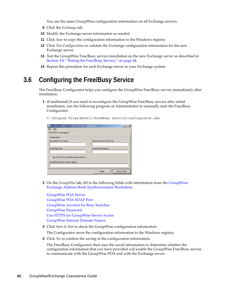You use the same GroupWise configuration information on all Exchange servers.

- **9** Click the *Exchange* tab.
- **10** Modify the Exchange server information as needed.
- **11** Click *Save* to copy the configuration information to the Windows registry.
- **12** Click *Test Configuration* to validate the Exchange configuration information for the new Exchange server.
- **13** Test the GroupWise Free/Busy service installation on the new Exchange server as described in [Section 3.8, "Testing the Free/Busy Service," on page 44.](#page-43-0)
- **14** Repeat this procedure for each Exchange server in your Exchange system.

# <span id="page-41-0"></span>**3.6 Configuring the Free/Busy Service**

The Free/Busy Configurator helps you configure the GroupWise Free/Busy service immediately after installation.

**1** (Conditional) If you need to reconfigure the GroupWise Free/Busy service after initial installation, run the following program as Administrator to manually start the Free/Busy Configurator:

C:\Program Files\Novell\FreeBusy Service\configurator.exe

| Novell GroupWise Free/Busy Service Configurator |                         | $ \Box$ $\times$ |
|-------------------------------------------------|-------------------------|------------------|
| File Help                                       |                         |                  |
| GroupWise   Exchange                            |                         |                  |
| Configuration                                   |                         |                  |
| GroupWise POA Server                            | GroupWise POA SOAP Port |                  |
| GroupWise User                                  | GroupWise Password      |                  |
| Use HTTPS for GroupWise Server Access           |                         |                  |
| GroupWise Internet Domain Names                 |                         |                  |
|                                                 |                         |                  |
|                                                 | Reset                   | Save & Test      |

**2** On the *GroupWise* tab, fill in the following fields with information from the [GroupWise/](#page-22-1) [Exchange Address Book Synchronization Worksheet](#page-22-1):

[GroupWise POA Server](#page-35-3) [GroupWise POA SOAP Port](#page-35-3) [GroupWise Account for Busy Searches](#page-36-1) [GroupWise Password](#page-36-1) [Use HTTPS for GroupWise Server Access](#page-35-3) [GroupWise Internet Domain Names](#page-36-0)

<span id="page-41-1"></span>**3** Click *Save & Test* to check the GroupWise configuration information.

The Configurator saves the configuration information to the Windows registry.

**4** Click *Yes* to confirm the saving of the configuration information.

The Free/Busy Configurator then uses the saved information to determine whether the configuration information that you have provided will enable the GroupWise Free/Busy service to communicate with the GroupWise POA and with the Exchange server.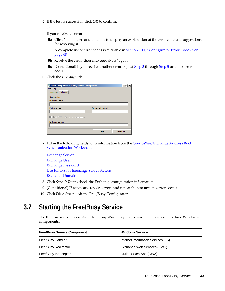<span id="page-42-1"></span>**5** If the test is successful, click *OK* to confirm.

or

If you receive an error:

**5a** Click *Yes* in the error dialog box to display an explanation of the error code and suggestions for resolving it.

A complete list of error codes is available in [Section 3.11, "Configurator Error Codes," on](#page-47-0)  [page 48.](#page-47-0)

- **5b** Resolve the error, then click *Save & Test* again.
- **5c** (Conditional) If you receive another error, repeat [Step 3](#page-41-1) through [Step 5](#page-42-1) until no errors occur.
- **6** Click the *Exchange* tab.

| Novell GroupWise Free/Busy Service Configurator |                          | $-1$        |
|-------------------------------------------------|--------------------------|-------------|
| File Help                                       |                          |             |
| GroupWise Exchange                              |                          |             |
| Configuration                                   |                          |             |
| <b>Exchange Server</b>                          |                          |             |
|                                                 |                          |             |
| <b>Exchange User</b>                            | <b>Exchange Password</b> |             |
|                                                 |                          |             |
| <b>▽</b> Use HTTPS for Exchange Server Access   |                          |             |
|                                                 |                          |             |
| Exchange Domain                                 |                          |             |
|                                                 |                          |             |
|                                                 | Reset                    | Save & Test |

**7** Fill in the following fields with information from the [GroupWise/Exchange Address Book](#page-22-1)  [Synchronization Worksheet](#page-22-1):

[Exchange Server](#page-37-1) [Exchange User](#page-37-2) [Exchange Password](#page-37-2) [Use HTTPS for Exchange Server Access](#page-37-1) [Exchange Domain](#page-36-1)

- **8** Click *Save & Test* to check the Exchange configuration information.
- **9** (Conditional) If necessary, resolve errors and repeat the test until no errors occur.
- **10** Click *File > Exit* to exit the Free/Busy Configurator.

# <span id="page-42-0"></span>**3.7 Starting the Free/Busy Service**

The three active components of the GroupWise Free/Busy service are installed into three Windows components:

| <b>Free/Busy Service Component</b> | <b>Windows Service</b>              |
|------------------------------------|-------------------------------------|
| Free/Busy Handler                  | Internet information Services (IIS) |
| <b>Free/Busy Redirector</b>        | Exchange Web Services (EWS)         |
| Free/Busy Interceptor              | Outlook Web App (OWA)               |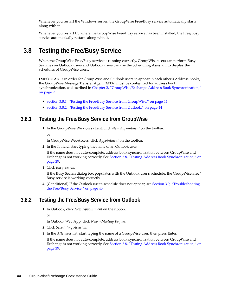Whenever you restart the Windows server, the GroupWise Free/Busy service automatically starts along with it.

Whenever you restart IIS where the GroupWise Free/Busy service has been installed, the Free/Busy service automatically restarts along with it.

# <span id="page-43-0"></span>**3.8 Testing the Free/Busy Service**

When the GroupWise Free/Busy service is running correctly, GroupWise users can perform Busy Searches on Outlook users and Outlook users can use the Scheduling Assistant to display the schedules of GroupWise users.

**IMPORTANT:** In order for GroupWise and Outlook users to appear in each other's Address Books, the GroupWise Message Transfer Agent (MTA) must be configured for address book synchronization, as described in [Chapter 2, "GroupWise/Exchange Address Book Synchronization,"](#page-8-2)  [on page 9.](#page-8-2)

- [Section 3.8.1, "Testing the Free/Busy Service from GroupWise," on page 44](#page-43-1)
- [Section 3.8.2, "Testing the Free/Busy Service from Outlook," on page 44](#page-43-2)

### <span id="page-43-1"></span>**3.8.1 Testing the Free/Busy Service from GroupWise**

**1** In the GroupWise Windows client, click *New Appointment* on the toolbar.

or

In GroupWise WebAccess, click *Appointment* on the toolbar.

**2** In the *To* field, start typing the name of an Outlook user.

If the name does not auto-complete, address book synchronization between GroupWise and Exchange is not working correctly. See [Section 2.8, "Testing Address Book Synchronization," on](#page-28-2)  [page 29.](#page-28-2)

**3** Click *Busy Search*.

If the Busy Search dialog box populates with the Outlook user's schedule, the GroupWise Free/ Busy service is working correctly.

**4** (Conditional) If the Outlook user's schedule does not appear, see [Section 3.9, "Troubleshooting](#page-44-0)  [the Free/Busy Service," on page 45](#page-44-0).

### <span id="page-43-2"></span>**3.8.2 Testing the Free/Busy Service from Outlook**

**1** In Outlook, click *New Appointment* on the ribbon.

or

In Outlook Web App, click *New > Meeting Request*.

- **2** Click *Scheduling Assistant*.
- **3** In the *Attendees* list, start typing the name of a GroupWise user, then press Enter.

If the name does not auto-complete, address book synchronization between GroupWise and Exchange is not working correctly. See [Section 2.8, "Testing Address Book Synchronization," on](#page-28-2)  [page 29.](#page-28-2)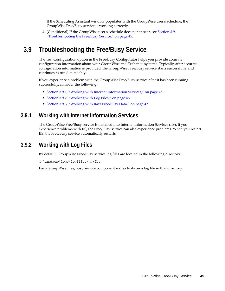If the Scheduling Assistant window populates with the GroupWise user's schedule, the GroupWise Free/Busy service is working correctly.

**4** (Conditional) If the GroupWise user's schedule does not appear, see [Section 3.9,](#page-44-0)  ["Troubleshooting the Free/Busy Service," on page 45.](#page-44-0)

# <span id="page-44-0"></span>**3.9 Troubleshooting the Free/Busy Service**

The Test Configuration option in the Free/Busy Configurator helps you provide accurate configuration information about your GroupWise and Exchange systems. Typically, after accurate configuration information is provided, the GroupWise Free/Busy service starts successfully and continues to run dependably.

If you experience a problem with the GroupWise Free/Busy service after it has been running successfully, consider the following:

- [Section 3.9.1, "Working with Internet Information Services," on page 45](#page-44-1)
- [Section 3.9.2, "Working with Log Files," on page 45](#page-44-2)
- [Section 3.9.3, "Working with Raw Free/Busy Data," on page 47](#page-46-0)

### <span id="page-44-1"></span>**3.9.1 Working with Internet Information Services**

The GroupWise Free/Busy service is installed into Internet Information Services (IIS). If you experience problems with IIS, the Free/Busy service can also experience problems. When you restart IIS, the Free/Busy service automatically restarts.

### <span id="page-44-2"></span>**3.9.2 Working with Log Files**

By default, GroupWise Free/Busy service log files are located in the following directory:

C:\inetpub\logs\logfiles\ngwfbs

Each GroupWise Free/Busy service component writes to its own log file in that directory.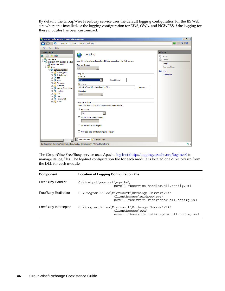By default, the GroupWise Free/Busy service uses the default logging configuration for the IIS Web site where it is installed, or the logging configuration for EWS, OWA, and NGWFBS if the logging for these modules has been customized.

| Internet Information Services (IIS) Manager                                                                                                                                                                                                                                                                                                                                                                                                   |                                                                                                                                                                                                                                                                                                                                                                                                                                                                                                                                                                                                       | $  $ $  $ $\times$ $ $                                                                                       |
|-----------------------------------------------------------------------------------------------------------------------------------------------------------------------------------------------------------------------------------------------------------------------------------------------------------------------------------------------------------------------------------------------------------------------------------------------|-------------------------------------------------------------------------------------------------------------------------------------------------------------------------------------------------------------------------------------------------------------------------------------------------------------------------------------------------------------------------------------------------------------------------------------------------------------------------------------------------------------------------------------------------------------------------------------------------------|--------------------------------------------------------------------------------------------------------------|
|                                                                                                                                                                                                                                                                                                                                                                                                                                               | EXCHSVR > Sites > Default Web Site >                                                                                                                                                                                                                                                                                                                                                                                                                                                                                                                                                                  | $\bullet \times \bullet \circ \bullet$                                                                       |
| Help<br>File<br><b>View</b>                                                                                                                                                                                                                                                                                                                                                                                                                   |                                                                                                                                                                                                                                                                                                                                                                                                                                                                                                                                                                                                       |                                                                                                              |
| <b>Connections</b><br>8日218<br>Start Page<br>EXCHSVR (PRV-GWDOC-SHARE)<br>Application Pools<br><b>E</b> o Sites<br><b>E</b> <sub>2</sub> Default Web Site<br>E aspnet client<br>- Autodiscover<br>由<br>由 <b>P</b> ecp<br><b>P</b> EWS<br>中<br>Exchange<br>Ėŀ<br>Exchweb<br>Ė<br><b>Fig. 2</b> Microsoft-Server-Act<br>⊪n qwfbs<br>Ė.<br>E A OAB<br><b>E</b> owa<br>E PowerShell<br>由 Public<br>$\left  \cdot \right $<br>$\ddot{\phantom{1}}$ | Logging<br>Use this feature to configure how IIS logs requests on the Web server.<br>One log file per:<br>Site<br>$\overline{\phantom{m}}$<br>-Log File<br>Format:<br>▾<br>W3C<br>Select Fields<br>Directory:<br>%SystemDrive%\inetpub\logs\LogFiles<br>Browse<br>Encoding:<br>UTF-8<br>$\overline{\phantom{m}}$<br>-Log File Rollover<br>Select the method that IIS uses to create a new log file.<br>C Schedule:<br>Daily<br>$\blacksquare$<br>C Maximum file size (in bytes):<br>C Do not create new log files<br>$\Box$ Use local time for file naming and rollover<br>Features View Content View | <b>Actions</b><br>Apply<br>Ex Cancel<br><b>Disable</b><br>View Log Files<br><sup>O</sup> Help<br>Online Help |
|                                                                                                                                                                                                                                                                                                                                                                                                                                               | Configuration: 'localhost' applicationHost.config , <location path="Default Web Site"></location>                                                                                                                                                                                                                                                                                                                                                                                                                                                                                                     | $\mathbf{e}_{\mathbb{H},:}$                                                                                  |

The GroupWise Free/Busy service uses Apache [log4net](http://logging.apache.org/log4net/) (http://logging.apache.org/log4net/) to manage its log files. The log4net configuration file for each module is located one directory up from the DLL for each module.

| <b>Component</b>      | <b>Location of Logging Configuration File</b>                                                                              |  |  |
|-----------------------|----------------------------------------------------------------------------------------------------------------------------|--|--|
| Free/Busy Handler     | $C:\int\int\wwwroot\quthick$<br>novell.fbservice.handler.dll.config.xml                                                    |  |  |
| Free/Busy Redirector  | C:\Proqram Files\Microsoft\Exchange Server\V14\<br>ClientAccess\exchweb\ews\<br>novell.fbservice.redirector.dll.config.xml |  |  |
| Free/Busy Interceptor | C:\Proqram Files\Microsoft\Exchange Server\V14\<br>$ClientAccess\owa\$<br>novell.fbservice.interceptor.dll.config.xml      |  |  |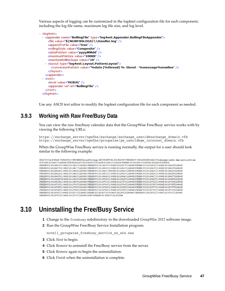Various aspects of logging can be customized in the log4net configuration file for each component, including the log file name, maximum log file size, and log level.

```
- <log4net>
- <appender name="RollingFile" type="log4net.Appender.RollingFileAppender">
    <file value="${NGWFBSLOGS}\\Handler.log" />
    <appendToFile value="true" />
    <rollingStyle value="Composite" />
    <datePattern value="yyyyMMdd" />
    <maximumFileSize value="100KB" />
    <maxSizeRollBackups value="10" />
  - < layout type="log4net.Layout.PatternLayout">
      <conversionPattern value="%date [%thread] %-5level - %message%newline" />
    </layout>
  </appender>
 - <root>
    <level value="DEBUG" />
    <appender-ref ref="RollingFile" />
  </root></log4net>
```
Use any ASCII text editor to modify the log4net configuration file for each component as needed.

### <span id="page-46-0"></span>**3.9.3 Working with Raw Free/Busy Data**

You can view the raw free/busy calendar data that the GroupWise Free/Busy service works with by viewing the following URLs:

https://*exchange\_server*/ngwfbs/exchange/*exchange\_userid*@*exchange\_domain*.vfb https://*exchange\_server*/ngwfbs/groupwise/*gw\_userid*@*gw\_internet\_domain*.vfb

When the GroupWise Free/Busy service is running normally, the output for a user should look similar to the following example:

BEGIN:VCALENDAR VERSION:2.0 PRODID:Microsoft Exchange METHOD:PUBLISH BEGIN:VFREEBUSY ORGANIZER:MAILTO:kolsen@prv-gwdoc-share.provo.novell.com DTSTART:20120614T164819Z DTEND:20120714T164819Z DTSTAMP:20120614T224820Z FREEBUSY:20120614T193000Z/20120614T200000Z FREEBUSY:20120614T213000Z/20120614T220000Z FREEBUSY:20120615T213000Z/20120615T220000Z FREEBUSY:20120616T213000Z/20120616T220000Z FREEBUSY:20120617T213000Z/20120617T220000Z FREEBUSY:20120618T213000Z/20120618T220000Z FREEBUSY:20120619T213000Z/20120619T220000Z FREEBUSY:20120620T213000Z/20120620T220000Z FREEBUSY:20120621T193000Z/20120621T200000Z FREEBUSY:20120621T213000Z/20120621T220000Z FREEBUSY:20120622T213000Z/20120622T220000Z FREEBUSY:20120623T213000Z/20120623T220000Z FREEBUSY:20120624T213000Z/20120624T220000Z FREEBUSY:20120625T213000Z/20120625T220000Z FREEBUSY:20120626T213000Z/20120626T220000Z FREEBUSY:20120627T213000Z/20120627T220000Z FREEBUSY:20120628T193000Z/20120628T200000Z FREEBUSY:20120628T213000Z/20120628T220000Z FREEBUSY:20120629T213000Z/20120629T220000Z FREEBUSY:20120630T213000Z/20120630T220000Z FREEBUSY:20120701T213000Z/20120701T220000Z FREEBUSY:20120702T213000Z/20120702T2220000Z FREEBUSY:20120703T213000Z/20120703T220000Z FREEBUSY:20120704T213000Z/20120704T220000Z FREEBUSY:20120705T193000Z/20120705T200000Z FREEBUSY:20120705T213000Z/20120705T220000Z FREEBUSY:20120706T213000Z/20120706T220000Z FREEBUSY:20120707T213000Z/20120707T2220000Z FREEBUSY:20120708T213000Z/20120708T220000Z FREEBUSY:20120709T213000Z/20120709T220000Z FREEBUSY:20120710T213000Z/20120710T220000Z FREEBUSY:20120711T213000Z/20120711T220000Z FREEBUSY:20120712T193000Z/20120712T200000Z FREEBUSY:20120712T213000Z/20120712T220000Z FREEBUSY:20120713T213000Z/20120713T220000Z END:VFREEBUSY END:VCALENDAR

# <span id="page-46-1"></span>**3.10 Uninstalling the Free/Busy Service**

- **1** Change to the freebusy subdirectory in the downloaded *GroupWise 2012* software image.
- **2** Run the GroupWise Free/Busy Service Installation program:

novell groupwise freebusy service en x64.exe

- **3** Click *Next* to begin.
- **4** Click *Remove* to uninstall the Free/Busy service from the server.
- **5** Click *Remove* again to begin the uninstallation.
- **6** Click *Finish* when the uninstallation is complete.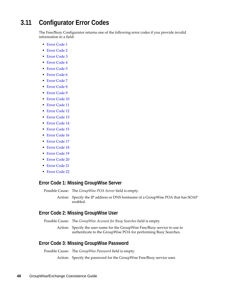# <span id="page-47-0"></span>**3.11 Configurator Error Codes**

The Free/Busy Configurator returns one of the following error codes if you provide invalid information in a field:

- Error Code 1
- Error Code 2
- Error Code 3
- Error Code 4
- Error Code 5
- Error Code 6
- Error Code 7
- Error Code 8
- Error Code 9
- Error Code 10
- Error Code 11
- Error Code 12
- Error Code 13
- Error Code 14
- Error Code 15
- Error Code 16
- Error Code 17
- Error Code 18
- Error Code 19
- Error Code 20
- Error Code 21
- Error Code 22

#### **Error Code 1: Missing GroupWise Server**

Possible Cause: The *GroupWise POA Server* field is empty.

Action: Specify the IP address or DNS hostname of a GroupWise POA that has SOAP enabled.

#### **Error Code 2: Missing GroupWise User**

Possible Cause: The *GroupWise Account for Busy Searches* field is empty.

Action: Specify the user name for the GroupWise Free/Busy service to use to authenticate to the GroupWise POA for performing Busy Searches.

### **Error Code 3: Missing GroupWise Password**

Possible Cause: The *GroupWise Password* field is empty.

Action: Specify the password for the GroupWise Free/Busy service user.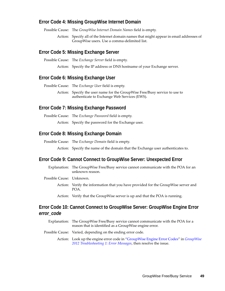#### **Error Code 4: Missing GroupWise Internet Domain**

Possible Cause: The *GroupWise Internet Domain Names* field is empty.

Action: Specify all of the Internet domain names that might appear in email addresses of GroupWise users. Use a comma-delimited list.

#### **Error Code 5: Missing Exchange Server**

Possible Cause: The *Exchange Server* field is empty.

Action: Specify the IP address or DNS hostname of your Exchange server.

#### **Error Code 6: Missing Exchange User**

Possible Cause: The *Exchange User* field is empty.

Action: Specify the user name for the GroupWise Free/Busy service to use to authenticate to Exchange Web Services (EWS).

#### **Error Code 7: Missing Exchange Password**

Possible Cause: The *Exchange Password* field is empty.

Action: Specify the password for the Exchange user.

#### **Error Code 8: Missing Exchange Domain**

Possible Cause: The *Exchange Domain* field is empty.

Action: Specify the name of the domain that the Exchange user authenticates to.

#### **Error Code 9: Cannot Connect to GroupWise Server: Unexpected Error**

Explanation: The GroupWise Free/Busy service cannot communicate with the POA for an unknown reason.

Possible Cause: Unknown.

- Action: Verify the information that you have provided for the GroupWise server and POA.
- Action: Verify that the GroupWise server is up and that the POA is running.

### **Error Code 10: Cannot Connect to GroupWise Server: GroupWise Engine Error**  *error\_code*

- Explanation: The GroupWise Free/Busy service cannot communicate with the POA for a reason that is identified as a GroupWise engine error.
- Possible Cause: Varied, depending on the ending error code.

Action: Look up the engine error code in "[GroupWise Engine Error Codes](http://www.novell.com/documentation/groupwise2012/pdfdoc/gw2012_guide_tsh1/gw2012_guide_tsh1.pdf#A3wxgq9)" in *[GroupWise](http://www.novell.com/documentation/groupwise2012/pdfdoc/gw2012_guide_tsh1/gw2012_guide_tsh1.pdf#A4ehiyt)  [2012 Troubleshooting 1: Error Messages](http://www.novell.com/documentation/groupwise2012/pdfdoc/gw2012_guide_tsh1/gw2012_guide_tsh1.pdf#A4ehiyt)*, then resolve the issue.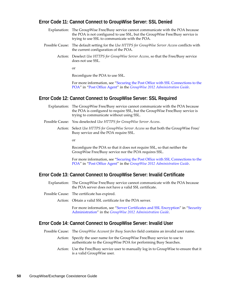#### **Error Code 11: Cannot Connect to GroupWise Server: SSL Denied**

- Explanation: The GroupWise Free/Busy service cannot communicate with the POA because the POA is not configured to use SSL, but the GroupWise Free/Busy service is trying to use SSL to communicate with the POA.
- Possible Cause: The default setting for the *Use HTTPS for GroupWise Server Access* conflicts with the current configuration of the POA.
	- Action: Deselect *Use HTTPS for GroupWise Server Access*, so that the Free/Busy service does not use SSL.

or

Reconfigure the POA to use SSL.

For more information, see ["Securing the Post Office with SSL Connections to the](http://www.novell.com/documentation/groupwise2012/pdfdoc/gw2012_guide_admin/gw2012_guide_admin.pdf#Adpdnme)  [POA"](http://www.novell.com/documentation/groupwise2012/pdfdoc/gw2012_guide_admin/gw2012_guide_admin.pdf#Adpdnme) in ["Post Office Agent"](http://www.novell.com/documentation/groupwise2012/pdfdoc/gw2012_guide_admin/gw2012_guide_admin.pdf#A84jmbe) in the *[GroupWise 2012 Administration Guide](http://www.novell.com/documentation/groupwise2012/pdfdoc/gw2012_guide_admin/gw2012_guide_admin.pdf#A2zvyc4)*.

#### **Error Code 12: Cannot Connect to GroupWise Server: SSL Required**

- Explanation: The GroupWise Free/Busy service cannot communicate with the POA because the POA is configured to require SSL, but the GroupWise Free/Busy service is trying to communicate without using SSL.
- Possible Cause: You deselected *Use HTTPS for GroupWise Server Access*.
	- Action: Select *Use HTTPS for GroupWise Server Access* so that both the GroupWise Free/ Busy service and the POA require SSL.

or

Reconfigure the POA so that it does not require SSL, so that neither the GroupWise Free/Busy service nor the POA requires SSL.

For more information, see ["Securing the Post Office with SSL Connections to the](http://www.novell.com/documentation/groupwise2012/pdfdoc/gw2012_guide_admin/gw2012_guide_admin.pdf#Adpdnme)  [POA"](http://www.novell.com/documentation/groupwise2012/pdfdoc/gw2012_guide_admin/gw2012_guide_admin.pdf#Adpdnme) in ["Post Office Agent"](http://www.novell.com/documentation/groupwise2012/pdfdoc/gw2012_guide_admin/gw2012_guide_admin.pdf#A84jmbe) in the *[GroupWise 2012 Administration Guide](http://www.novell.com/documentation/groupwise2012/pdfdoc/gw2012_guide_admin/gw2012_guide_admin.pdf#A2zvyc4)*.

#### **Error Code 13: Cannot Connect to GroupWise Server: Invalid Certificate**

- Explanation: The GroupWise Free/Busy service cannot communicate with the POA because the POA server does not have a valid SSL certificate.
- Possible Cause: The certificate has expired.
	- Action: Obtain a valid SSL certificate for the POA server.

For more information, see "[Server Certificates and SSL Encryption"](http://www.novell.com/documentation/groupwise2012/pdfdoc/gw2012_guide_admin/gw2012_guide_admin.pdf#Ak9e3ju) in ["Security](http://www.novell.com/documentation/groupwise2012/pdfdoc/gw2012_guide_admin/gw2012_guide_admin.pdf#Altf8xr)  [Administration](http://www.novell.com/documentation/groupwise2012/pdfdoc/gw2012_guide_admin/gw2012_guide_admin.pdf#Altf8xr)" in the *[GroupWise 2012 Administration Guide](http://www.novell.com/documentation/groupwise2012/pdfdoc/gw2012_guide_admin/gw2012_guide_admin.pdf#A2zvyc4)*.

#### **Error Code 14: Cannot Connect to GroupWise Server: Invalid User**

Possible Cause: The *GroupWise Account for Busy Searches* field contains an invalid user name.

- Action: Specify the user name for the GroupWise Free/Busy service to use to authenticate to the GroupWise POA for performing Busy Searches.
- Action: Use the Free/Busy service user to manually log in to GroupWise to ensure that it is a valid GroupWise user.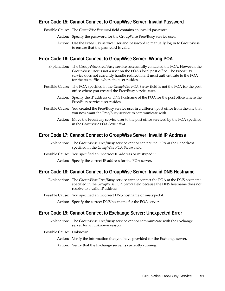### **Error Code 15: Cannot Connect to GroupWise Server: Invalid Password**

Possible Cause: The *GroupWise Password* field contains an invalid password.

- Action: Specify the password for the GroupWise Free/Busy service user.
- Action: Use the Free/Busy service user and password to manually log in to GroupWise to ensure that the password is valid.

#### **Error Code 16: Cannot Connect to GroupWise Server: Wrong POA**

| Explanation: The GroupWise Free/Busy service successfully contacted the POA. However, the<br>GroupWise user is not a user on the POA's local post office. The Free/Busy<br>service does not currently handle redirection. It must authenticate to the POA<br>for the post office where the user resides. |
|----------------------------------------------------------------------------------------------------------------------------------------------------------------------------------------------------------------------------------------------------------------------------------------------------------|
| Possible Cause: The POA specified in the <i>GroupWise POA Server</i> field is not the POA for the post<br>office where you created the Free/Busy service user.                                                                                                                                           |
| Action: Specify the IP address or DNS hostname of the POA for the post office where the<br>Free/Busy service user resides.                                                                                                                                                                               |
| Possible Cause: You created the Free/Busy service user in a different post office from the one that<br>you now want the Free/Busy service to communicate with.                                                                                                                                           |
| Action: Move the Free/Busy service user to the post office serviced by the POA specified<br>in the GroupWise POA Server field.                                                                                                                                                                           |
|                                                                                                                                                                                                                                                                                                          |

#### **Error Code 17: Cannot Connect to GroupWise Server: Invalid IP Address**

- Explanation: The GroupWise Free/Busy service cannot contact the POA at the IP address specified in the *GroupWise POA Server* field.
- Possible Cause: You specified an incorrect IP address or mistyped it.

Action: Specify the correct IP address for the POA server.

#### **Error Code 18: Cannot Connect to GroupWise Server: Invalid DNS Hostname**

- Explanation: The GroupWise Free/Busy service cannot contact the POA at the DNS hostname specified in the *GroupWise POA Server* field because the DNS hostname does not resolve to a valid IP address.
- Possible Cause: You specified an incorrect DNS hostname or mistyped it.

Action: Specify the correct DNS hostname for the POA server.

#### **Error Code 19: Cannot Connect to Exchange Server: Unexpected Error**

- Explanation: The GroupWise Free/Busy service cannot communicate with the Exchange server for an unknown reason.
- Possible Cause: Unknown.
	- Action: Verify the information that you have provided for the Exchange server.
	- Action: Verify that the Exchange server is currently running.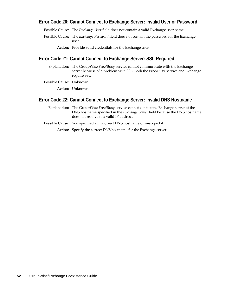### **Error Code 20: Cannot Connect to Exchange Server: Invalid User or Password**

Possible Cause: The *Exchange User* field does not contain a valid Exchange user name.

- Possible Cause: The *Exchange Password* field does not contain the password for the Exchange user.
	- Action: Provide valid credentials for the Exchange user.

#### **Error Code 21: Cannot Connect to Exchange Server: SSL Required**

- Explanation: The GroupWise Free/Busy service cannot communicate with the Exchange server because of a problem with SSL. Both the Free/Busy service and Exchange require SSL.
- Possible Cause: Unknown.

Action: Unknown.

#### **Error Code 22: Cannot Connect to Exchange Server: Invalid DNS Hostname**

- Explanation: The GroupWise Free/Busy service cannot contact the Exchange server at the DNS hostname specified in the *Exchange Server* field because the DNS hostname does not resolve to a valid IP address.
- Possible Cause: You specified an incorrect DNS hostname or mistyped it.

Action: Specify the correct DNS hostname for the Exchange server.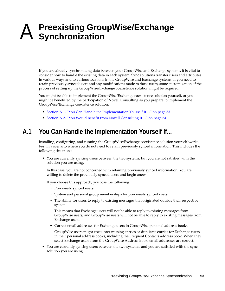# <span id="page-52-0"></span>A <sup>A</sup>**Preexisting GroupWise/Exchange Synchronization**

<span id="page-52-2"></span>If you are already synchronizing data between your GroupWise and Exchange systems, it is vital to consider how to handle the existing data in each system. Sync solutions transfer users and attributes in various ways and to various locations in the GroupWise and Exchange systems. If you need to retain previously synced users and any modifications made to those users, some customization of the process of setting up the GroupWise/Exchange coexistence solution might be required.

You might be able to implement the GroupWise/Exchange coexistence solution yourself, or you might be benefitted by the participation of Novell Consulting as you prepare to implement the GroupWise/Exchange coexistence solution.

- [Section A.1, "You Can Handle the Implementation Yourself If...," on page 53](#page-52-1)
- [Section A.2, "You Would Benefit from Novell Consulting If...," on page 54](#page-53-0)

# <span id="page-52-1"></span>**A.1 You Can Handle the Implementation Yourself If...**

Installing, configuring, and running the GroupWise/Exchange coexistence solution yourself works best in a scenario where you do not need to retain previously synced information. This includes the following situations:

 You are currently syncing users between the two systems, but you are not satisfied with the solution you are using.

In this case, you are not concerned with retaining previously synced information. You are willing to delete the previously synced users and begin anew.

If you choose this approach, you lose the following:

- Previously synced users
- System and personal group memberships for previously synced users
- The ability for users to reply to existing messages that originated outside their respective systems

This means that Exchange users will not be able to reply to existing messages from GroupWise users, and GroupWise users will not be able to reply to existing messages from Exchange users.

Correct email addresses for Exchange users in GroupWise personal address books

GroupWise users might encounter missing entries or duplicate entries for Exchange users in their personal address books, including the Frequent Contacts address book. When they select Exchange users from the GroupWise Address Book, email addresses are correct.

 You are currently syncing users between the two systems, and you are satisfied with the sync solution you are using.